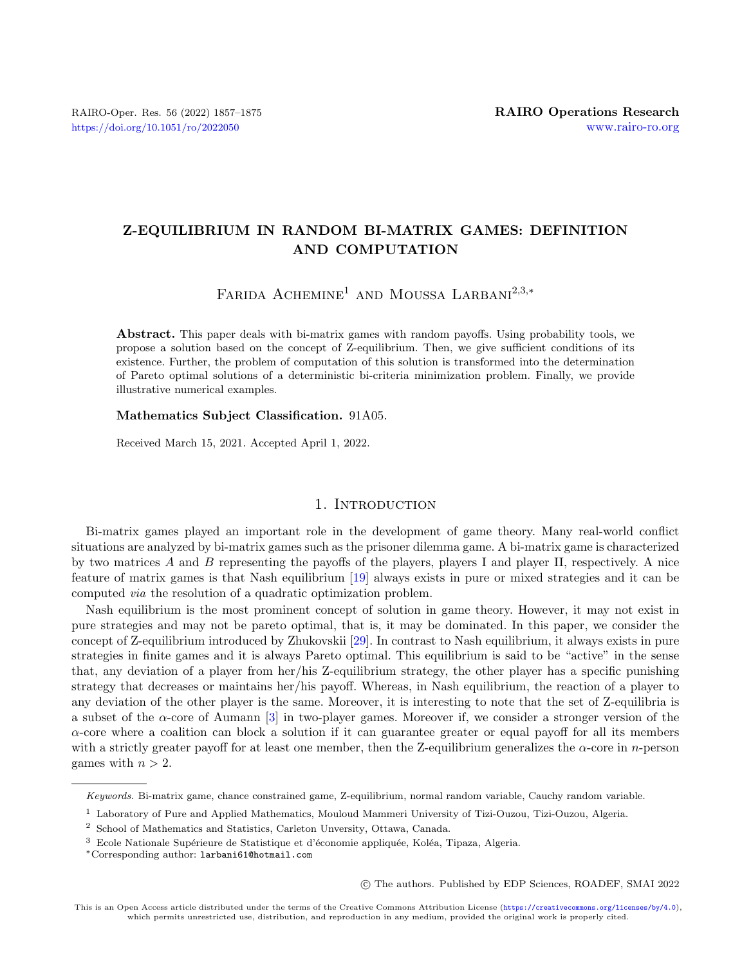# Z-EQUILIBRIUM IN RANDOM BI-MATRIX GAMES: DEFINITION AND COMPUTATION

FARIDA  $A$ CHEMINE<sup>1</sup> AND MOUSSA LARBANI<sup>2,3,\*</sup>

Abstract. This paper deals with bi-matrix games with random payoffs. Using probability tools, we propose a solution based on the concept of Z-equilibrium. Then, we give sufficient conditions of its existence. Further, the problem of computation of this solution is transformed into the determination of Pareto optimal solutions of a deterministic bi-criteria minimization problem. Finally, we provide illustrative numerical examples.

## Mathematics Subject Classification. 91A05.

Received March 15, 2021. Accepted April 1, 2022.

## 1. INTRODUCTION

Bi-matrix games played an important role in the development of game theory. Many real-world conflict situations are analyzed by bi-matrix games such as the prisoner dilemma game. A bi-matrix game is characterized by two matrices A and B representing the payoffs of the players, players I and player II, respectively. A nice feature of matrix games is that Nash equilibrium [\[19\]](#page-17-0) always exists in pure or mixed strategies and it can be computed via the resolution of a quadratic optimization problem.

Nash equilibrium is the most prominent concept of solution in game theory. However, it may not exist in pure strategies and may not be pareto optimal, that is, it may be dominated. In this paper, we consider the concept of Z-equilibrium introduced by Zhukovskii [\[29\]](#page-17-1). In contrast to Nash equilibrium, it always exists in pure strategies in finite games and it is always Pareto optimal. This equilibrium is said to be "active" in the sense that, any deviation of a player from her/his Z-equilibrium strategy, the other player has a specific punishing strategy that decreases or maintains her/his payoff. Whereas, in Nash equilibrium, the reaction of a player to any deviation of the other player is the same. Moreover, it is interesting to note that the set of Z-equilibria is a subset of the  $\alpha$ -core of Aumann [\[3\]](#page-17-2) in two-player games. Moreover if, we consider a stronger version of the  $\alpha$ -core where a coalition can block a solution if it can guarantee greater or equal payoff for all its members with a strictly greater payoff for at least one member, then the Z-equilibrium generalizes the  $\alpha$ -core in *n*-person games with  $n > 2$ .

○c The authors. Published by EDP Sciences, ROADEF, SMAI 2022

Keywords. Bi-matrix game, chance constrained game, Z-equilibrium, normal random variable, Cauchy random variable.

<sup>1</sup> Laboratory of Pure and Applied Mathematics, Mouloud Mammeri University of Tizi-Ouzou, Tizi-Ouzou, Algeria.

<sup>2</sup> School of Mathematics and Statistics, Carleton Unversity, Ottawa, Canada.

<sup>&</sup>lt;sup>3</sup> Ecole Nationale Supérieure de Statistique et d'économie appliquée, Koléa, Tipaza, Algeria.

<sup>\*</sup>Corresponding author: [larbani61@hotmail.com](mailto:larbani61@hotmail.com)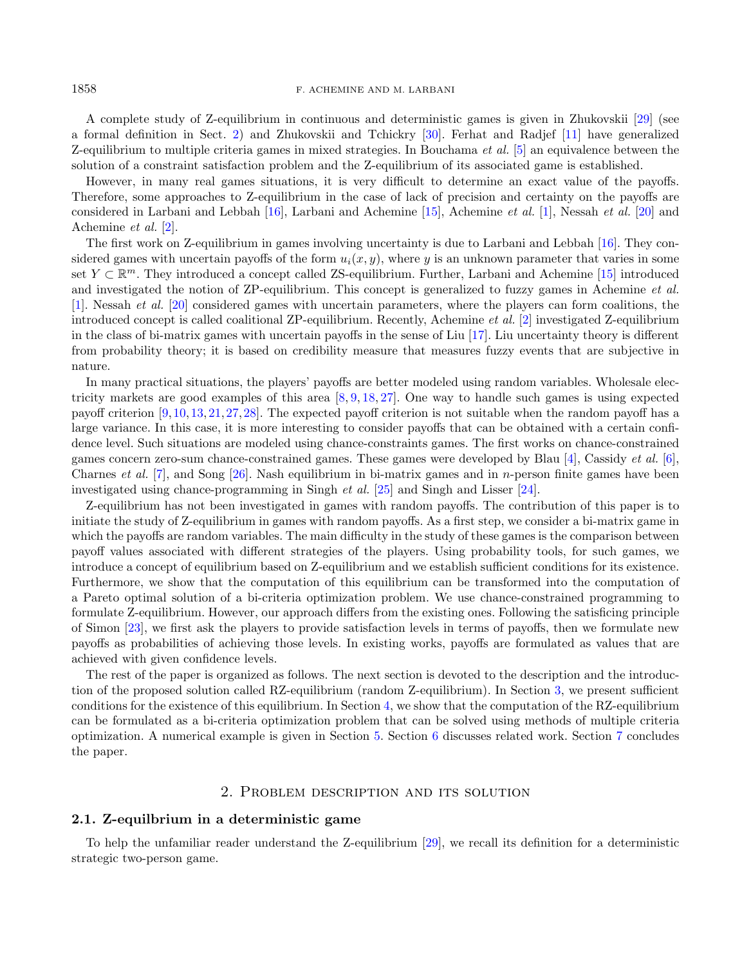A complete study of Z-equilibrium in continuous and deterministic games is given in Zhukovskii [\[29\]](#page-17-1) (see a formal definition in Sect. [2\)](#page-1-0) and Zhukovskii and Tchickry [\[30\]](#page-17-3). Ferhat and Radjef [\[11\]](#page-17-4) have generalized Z-equilibrium to multiple criteria games in mixed strategies. In Bouchama et al. [\[5\]](#page-17-5) an equivalence between the solution of a constraint satisfaction problem and the Z-equilibrium of its associated game is established.

However, in many real games situations, it is very difficult to determine an exact value of the payoffs. Therefore, some approaches to Z-equilibrium in the case of lack of precision and certainty on the payoffs are considered in Larbani and Lebbah  $[16]$ , Larbani and Achemine  $[15]$ , Achemine *et al.*  $[1]$ , Nessah *et al.*  $[20]$  and Achemine et al. [\[2\]](#page-17-10).

The first work on Z-equilibrium in games involving uncertainty is due to Larbani and Lebbah [\[16\]](#page-17-6). They considered games with uncertain payoffs of the form  $u_i(x, y)$ , where y is an unknown parameter that varies in some set  $Y \subset \mathbb{R}^m$ . They introduced a concept called ZS-equilibrium. Further, Larbani and Achemine [\[15\]](#page-17-7) introduced and investigated the notion of ZP-equilibrium. This concept is generalized to fuzzy games in Achemine et al. [\[1\]](#page-17-8). Nessah et al. [\[20\]](#page-17-9) considered games with uncertain parameters, where the players can form coalitions, the introduced concept is called coalitional ZP-equilibrium. Recently, Achemine et al. [\[2\]](#page-17-10) investigated Z-equilibrium in the class of bi-matrix games with uncertain payoffs in the sense of Liu [\[17\]](#page-17-11). Liu uncertainty theory is different from probability theory; it is based on credibility measure that measures fuzzy events that are subjective in nature.

In many practical situations, the players' payoffs are better modeled using random variables. Wholesale electricity markets are good examples of this area [\[8,](#page-17-12) [9,](#page-17-13) [18,](#page-17-14) [27\]](#page-17-15). One way to handle such games is using expected payoff criterion [\[9,](#page-17-13)[10,](#page-17-16)[13,](#page-17-17)[21,](#page-17-18)[27,](#page-17-15)[28\]](#page-17-19). The expected payoff criterion is not suitable when the random payoff has a large variance. In this case, it is more interesting to consider payoffs that can be obtained with a certain confidence level. Such situations are modeled using chance-constraints games. The first works on chance-constrained games concern zero-sum chance-constrained games. These games were developed by Blau  $[4]$ , Cassidy *et al.* [\[6\]](#page-17-21), Charnes *et al.* [\[7\]](#page-17-22), and Song  $[26]$ . Nash equilibrium in bi-matrix games and in *n*-person finite games have been investigated using chance-programming in Singh et al. [\[25\]](#page-17-24) and Singh and Lisser [\[24\]](#page-17-25).

Z-equilibrium has not been investigated in games with random payoffs. The contribution of this paper is to initiate the study of Z-equilibrium in games with random payoffs. As a first step, we consider a bi-matrix game in which the payoffs are random variables. The main difficulty in the study of these games is the comparison between payoff values associated with different strategies of the players. Using probability tools, for such games, we introduce a concept of equilibrium based on Z-equilibrium and we establish sufficient conditions for its existence. Furthermore, we show that the computation of this equilibrium can be transformed into the computation of a Pareto optimal solution of a bi-criteria optimization problem. We use chance-constrained programming to formulate Z-equilibrium. However, our approach differs from the existing ones. Following the satisficing principle of Simon [\[23\]](#page-17-26), we first ask the players to provide satisfaction levels in terms of payoffs, then we formulate new payoffs as probabilities of achieving those levels. In existing works, payoffs are formulated as values that are achieved with given confidence levels.

The rest of the paper is organized as follows. The next section is devoted to the description and the introduction of the proposed solution called RZ-equilibrium (random Z-equilibrium). In Section [3,](#page-5-0) we present sufficient conditions for the existence of this equilibrium. In Section [4,](#page-8-0) we show that the computation of the RZ-equilibrium can be formulated as a bi-criteria optimization problem that can be solved using methods of multiple criteria optimization. A numerical example is given in Section [5.](#page-11-0) Section [6](#page-12-0) discusses related work. Section [7](#page-16-0) concludes the paper.

# 2. Problem description and its solution

#### <span id="page-1-0"></span>2.1. Z-equilbrium in a deterministic game

To help the unfamiliar reader understand the Z-equilibrium [\[29\]](#page-17-1), we recall its definition for a deterministic strategic two-person game.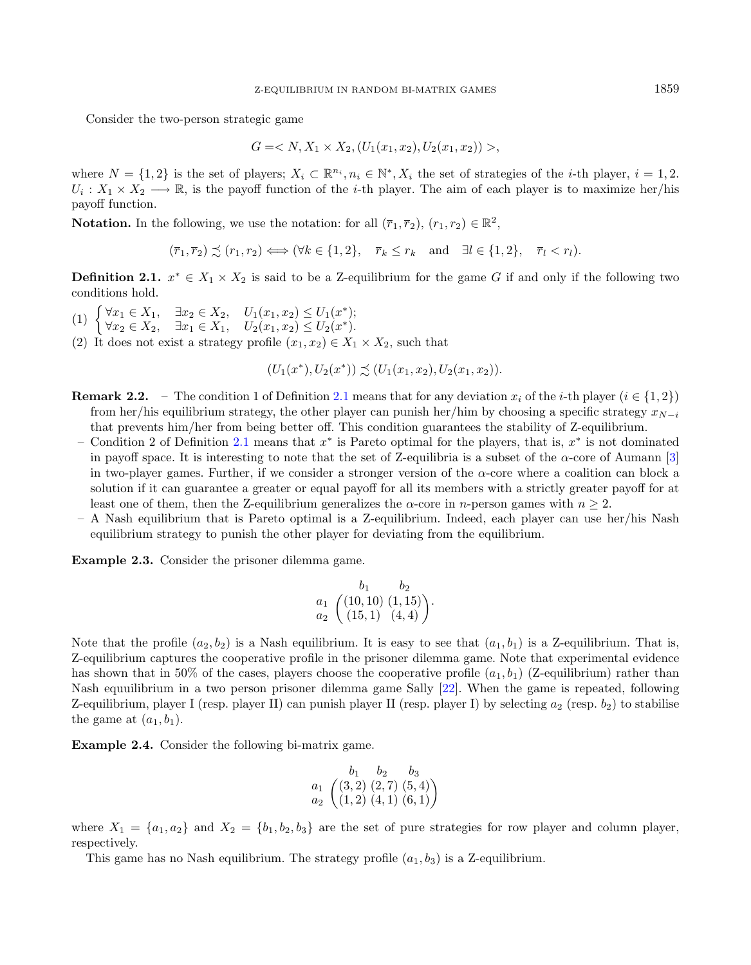Consider the two-person strategic game

$$
G = \langle N, X_1 \times X_2, (U_1(x_1, x_2), U_2(x_1, x_2)) \rangle,
$$

where  $N = \{1, 2\}$  is the set of players;  $X_i \subset \mathbb{R}^{n_i}, n_i \in \mathbb{N}^*, X_i$  the set of strategies of the *i*-th player,  $i = 1, 2$ .  $U_i: X_1 \times X_2 \longrightarrow \mathbb{R}$ , is the payoff function of the *i*-th player. The aim of each player is to maximize her/his payoff function.

**Notation.** In the following, we use the notation: for all  $(\bar{r}_1, \bar{r}_2), (r_1, r_2) \in \mathbb{R}^2$ ,

 $(\overline{r}_1, \overline{r}_2) \preceq (r_1, r_2) \Longleftrightarrow (\forall k \in \{1, 2\}, \quad \overline{r}_k \leq r_k \text{ and } \exists l \in \{1, 2\}, \quad \overline{r}_l < r_l).$ 

<span id="page-2-0"></span>**Definition 2.1.**  $x^* \in X_1 \times X_2$  is said to be a Z-equilibrium for the game G if and only if the following two conditions hold.

- (1)  $\begin{cases} \forall x_1 \in X_1, & \exists x_2 \in X_2, \quad U_1(x_1, x_2) \leq U_1(x^*); \\ \forall x_2 \in X_2, & \exists x_3 \in X_3, \quad U_2(x_3, x_3) \leq U_1(x^*) \end{cases}$  $\forall x_2 \in X_2, \quad \exists x_1 \in X_1, \quad U_2(x_1, x_2) \leq U_2(x^*).$
- (2) It does not exist a strategy profile  $(x_1, x_2) \in X_1 \times X_2$ , such that

$$
(U_1(x^*), U_2(x^*)) \precsim (U_1(x_1, x_2), U_2(x_1, x_2)).
$$

- <span id="page-2-1"></span>**Remark 2.2.** – The condition 1 of Definition [2.1](#page-2-0) means that for any deviation  $x_i$  of the *i*-th player  $(i \in \{1,2\})$ from her/his equilibrium strategy, the other player can punish her/him by choosing a specific strategy  $x_{N-i}$ that prevents him/her from being better off. This condition guarantees the stability of Z-equilibrium.
	- Condition 2 of Definition [2.1](#page-2-0) means that  $x^*$  is Pareto optimal for the players, that is,  $x^*$  is not dominated in payoff space. It is interesting to note that the set of Z-equilibria is a subset of the  $\alpha$ -core of Aumann [\[3\]](#page-17-2) in two-player games. Further, if we consider a stronger version of the  $\alpha$ -core where a coalition can block a solution if it can guarantee a greater or equal payoff for all its members with a strictly greater payoff for at least one of them, then the Z-equilibrium generalizes the  $\alpha$ -core in *n*-person games with  $n \geq 2$ .
- A Nash equilibrium that is Pareto optimal is a Z-equilibrium. Indeed, each player can use her/his Nash equilibrium strategy to punish the other player for deviating from the equilibrium.

Example 2.3. Consider the prisoner dilemma game.

$$
\begin{array}{cc}\n & b_1 & b_2 \\
a_1 & \left( (10, 10) (1, 15) \right) \\
a_2 & (15, 1) (4, 4)\n\end{array}
$$

Note that the profile  $(a_2, b_2)$  is a Nash equilibrium. It is easy to see that  $(a_1, b_1)$  is a Z-equilibrium. That is, Z-equilibrium captures the cooperative profile in the prisoner dilemma game. Note that experimental evidence has shown that in 50% of the cases, players choose the cooperative profile  $(a_1, b_1)$  (Z-equilibrium) rather than Nash equuilibrium in a two person prisoner dilemma game Sally [\[22\]](#page-17-27). When the game is repeated, following Z-equilibrium, player I (resp. player II) can punish player II (resp. player I) by selecting  $a_2$  (resp.  $b_2$ ) to stabilise the game at  $(a_1, b_1)$ .

Example 2.4. Consider the following bi-matrix game.

$$
\begin{array}{cc}\n & b_1 & b_2 & b_3 \\
a_1 & \left(3,2\right) & \left(2,7\right) & \left(5,4\right) \\
a_2 & \left(1,2\right) & \left(4,1\right) & \left(6,1\right)\n\end{array}
$$

where  $X_1 = \{a_1, a_2\}$  and  $X_2 = \{b_1, b_2, b_3\}$  are the set of pure strategies for row player and column player, respectively.

This game has no Nash equilibrium. The strategy profile  $(a_1, b_3)$  is a Z-equilibrium.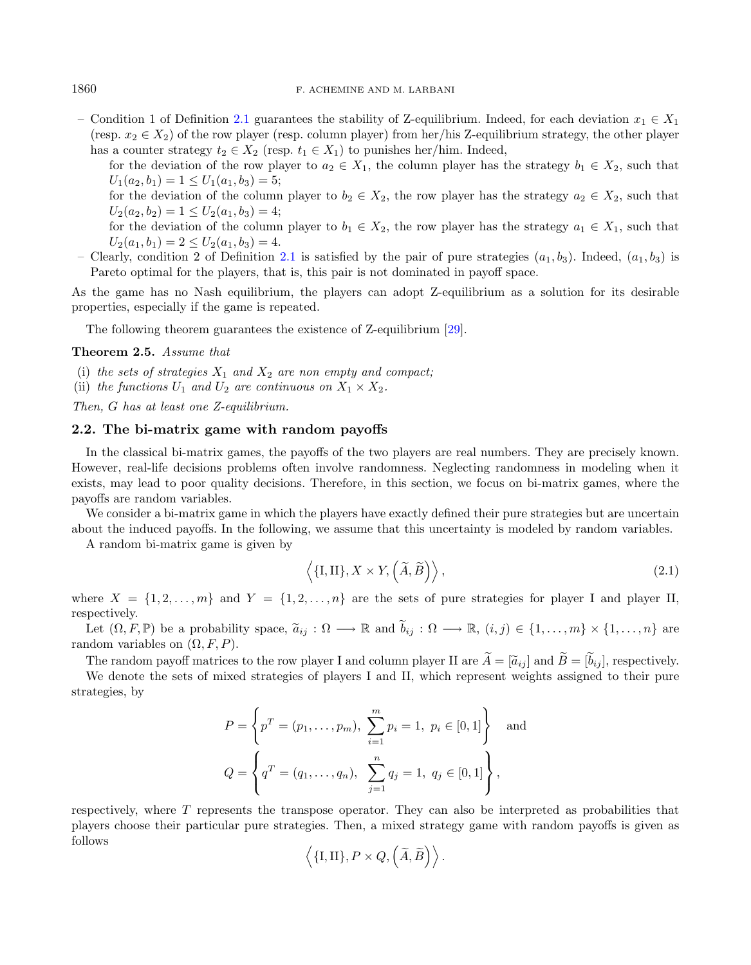– Condition 1 of Definition [2.1](#page-2-0) guarantees the stability of Z-equilibrium. Indeed, for each deviation  $x_1 \in X_1$ (resp.  $x_2 \in X_2$ ) of the row player (resp. column player) from her/his Z-equilibrium strategy, the other player has a counter strategy  $t_2 \in X_2$  (resp.  $t_1 \in X_1$ ) to punishes her/him. Indeed,

for the deviation of the row player to  $a_2 \in X_1$ , the column player has the strategy  $b_1 \in X_2$ , such that  $U_1(a_2, b_1) = 1 \le U_1(a_1, b_3) = 5;$ 

for the deviation of the column player to  $b_2 \in X_2$ , the row player has the strategy  $a_2 \in X_2$ , such that  $U_2(a_2, b_2) = 1 \le U_2(a_1, b_3) = 4;$ 

for the deviation of the column player to  $b_1 \in X_2$ , the row player has the strategy  $a_1 \in X_1$ , such that  $U_2(a_1, b_1) = 2 \le U_2(a_1, b_3) = 4.$ 

– Clearly, condition 2 of Definition [2.1](#page-2-0) is satisfied by the pair of pure strategies  $(a_1, b_3)$ . Indeed,  $(a_1, b_3)$  is Pareto optimal for the players, that is, this pair is not dominated in payoff space.

As the game has no Nash equilibrium, the players can adopt Z-equilibrium as a solution for its desirable properties, especially if the game is repeated.

The following theorem guarantees the existence of Z-equilibrium [\[29\]](#page-17-1).

#### <span id="page-3-1"></span>Theorem 2.5. Assume that

- (i) the sets of strategies  $X_1$  and  $X_2$  are non empty and compact;
- (ii) the functions  $U_1$  and  $U_2$  are continuous on  $X_1 \times X_2$ .

Then,  $G$  has at least one Z-equilibrium.

# 2.2. The bi-matrix game with random payoffs

In the classical bi-matrix games, the payoffs of the two players are real numbers. They are precisely known. However, real-life decisions problems often involve randomness. Neglecting randomness in modeling when it exists, may lead to poor quality decisions. Therefore, in this section, we focus on bi-matrix games, where the payoffs are random variables.

We consider a bi-matrix game in which the players have exactly defined their pure strategies but are uncertain about the induced payoffs. In the following, we assume that this uncertainty is modeled by random variables.

A random bi-matrix game is given by

<span id="page-3-0"></span>
$$
\langle \{I,II\}, X \times Y, \left(\tilde{A}, \tilde{B}\right) \rangle, \tag{2.1}
$$

where  $X = \{1, 2, \ldots, m\}$  and  $Y = \{1, 2, \ldots, n\}$  are the sets of pure strategies for player I and player II, respectively.

Let  $(\Omega, F, \mathbb{P})$  be a probability space,  $\tilde{a}_{ij} : \Omega \longrightarrow \mathbb{R}$  and  $\tilde{b}_{ij} : \Omega \longrightarrow \mathbb{R}$ ,  $(i, j) \in \{1, \ldots, m\} \times \{1, \ldots, n\}$  are random variables on  $(\Omega, F, P)$ .

The random payoff matrices to the row player I and column player II are  $\widetilde{A} = [\widetilde{a}_{ij}]$  and  $\widetilde{B} = [\widetilde{b}_{ij}]$ , respectively.

We denote the sets of mixed strategies of players I and II, which represent weights assigned to their pure strategies, by

$$
P = \left\{ p^T = (p_1, \dots, p_m), \sum_{i=1}^m p_i = 1, \ p_i \in [0, 1] \right\} \text{ and}
$$
  

$$
Q = \left\{ q^T = (q_1, \dots, q_n), \sum_{j=1}^n q_j = 1, \ q_j \in [0, 1] \right\},
$$

respectively, where  $T$  represents the transpose operator. They can also be interpreted as probabilities that players choose their particular pure strategies. Then, a mixed strategy game with random payoffs is given as follows

$$
\left\langle \{I,II\}, P \times Q, \left(\widetilde{A}, \widetilde{B}\right) \right\rangle.
$$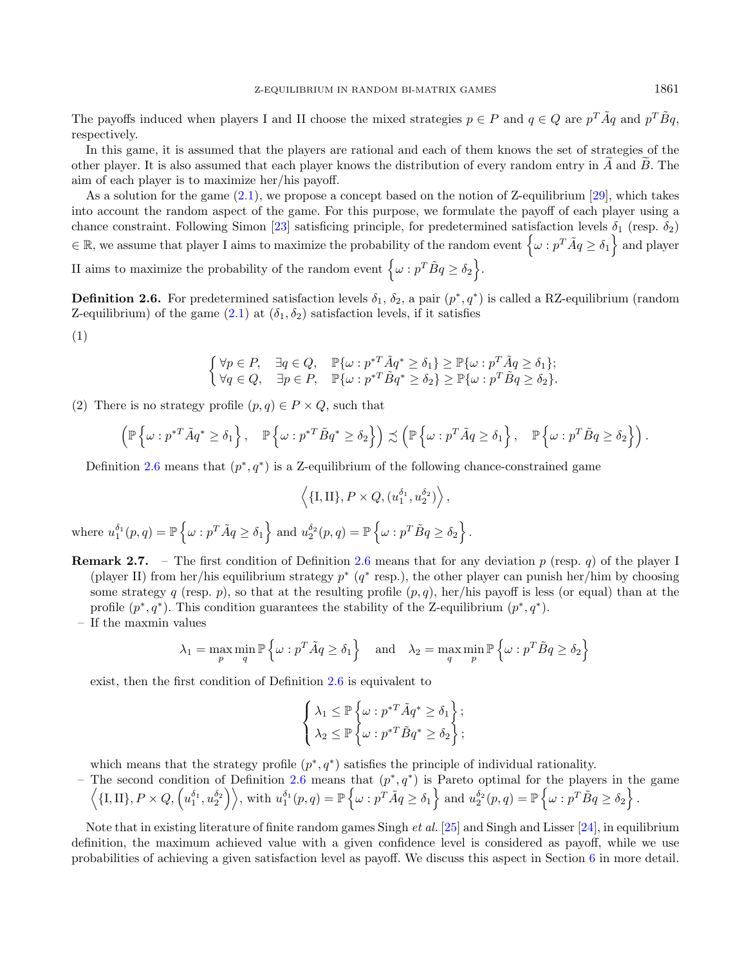The payoffs induced when players I and II choose the mixed strategies  $p \in P$  and  $q \in Q$  are  $p^T \tilde{A}q$  and  $p^T \tilde{B}q$ , respectively.

In this game, it is assumed that the players are rational and each of them knows the set of strategies of the other player. It is also assumed that each player knows the distribution of every random entry in  $A$  and  $B$ . The aim of each player is to maximize her/his payoff.

As a solution for the game [\(2.1\)](#page-3-0), we propose a concept based on the notion of Z-equilibrium [\[29\]](#page-17-1), which takes into account the random aspect of the game. For this purpose, we formulate the payoff of each player using a chance constraint. Following Simon [\[23\]](#page-17-26) satisficing principle, for predetermined satisfaction levels  $\delta_1$  (resp.  $\delta_2$ )  $\mathcal{L} \in \mathbb{R}$ , we assume that player I aims to maximize the probability of the random event  $\{\omega : p^T \tilde{A} q \ge \delta_1\}$  and player II aims to maximize the probability of the random event  $\{\omega : p^T \tilde{B} q \ge \delta_2\}.$ 

<span id="page-4-0"></span>**Definition 2.6.** For predetermined satisfaction levels  $\delta_1$ ,  $\delta_2$ , a pair  $(p^*, q^*)$  is called a RZ-equilibrium (random Z-equilibrium) of the game  $(2.1)$  at  $(\delta_1, \delta_2)$  satisfaction levels, if it satisfies

(1)

$$
\begin{cases} \forall p \in P, & \exists q \in Q, \quad \mathbb{P}\{\omega : p^{*T} \tilde{A} q^* \ge \delta_1\} \ge \mathbb{P}\{\omega : p^T \tilde{A} q \ge \delta_1\}; \\ \forall q \in Q, & \exists p \in P, \quad \mathbb{P}\{\omega : p^{*T} \tilde{B} q^* \ge \delta_2\} \ge \mathbb{P}\{\omega : p^T \tilde{B} q \ge \delta_2\}. \end{cases}
$$

(2) There is no strategy profile  $(p, q) \in P \times Q$ , such that

$$
\left(\mathbb{P}\left\{\omega: p^{*T}\tilde{A}q^*\geq \delta_1\right\},\quad \mathbb{P}\left\{\omega: p^{*T}\tilde{B}q^*\geq \delta_2\right\}\right)\precsim \left(\mathbb{P}\left\{\omega: p^T\tilde{A}q\geq \delta_1\right\},\quad \mathbb{P}\left\{\omega: p^T\tilde{B}q\geq \delta_2\right\}\right).
$$

Definition [2.6](#page-4-0) means that  $(p^*, q^*)$  is a Z-equilibrium of the following chance-constrained game

$$
\langle \{I,II\}, P \times Q, (u_1^{\delta_1}, u_2^{\delta_2}) \rangle
$$

 $\text{where } u_1^{\delta_1}(p,q) = \mathbb{P}\left\{\omega : p^T \tilde{A} q \geq \delta_1 \right\} \text{ and } u_2^{\delta_2}(p,q) = \mathbb{P}\left\{\omega : p^T \tilde{B} q \geq \delta_2 \right\}.$ 

**Remark 2.7.** – The first condition of Definition [2.6](#page-4-0) means that for any deviation p (resp. q) of the player I (player II) from her/his equilibrium strategy  $p^*$  ( $q^*$  resp.), the other player can punish her/him by choosing some strategy q (resp. p), so that at the resulting profile  $(p, q)$ , her/his payoff is less (or equal) than at the profile  $(p^*, q^*)$ . This condition guarantees the stability of the Z-equilibrium  $(p^*, q^*)$ .

– If the maxmin values

$$
\lambda_1 = \max_{p} \min_{q} \mathbb{P}\left\{\omega : p^T \tilde{A} q \ge \delta_1\right\} \quad \text{and} \quad \lambda_2 = \max_{q} \min_{p} \mathbb{P}\left\{\omega : p^T \tilde{B} q \ge \delta_2\right\}
$$

exist, then the first condition of Definition [2.6](#page-4-0) is equivalent to

$$
\left\{\begin{aligned}\n\lambda_1 &\leq \mathbb{P}\left\{\omega : p^{*T}\tilde{A}q^* \geq \delta_1\right\}; \\
\lambda_2 &\leq \mathbb{P}\left\{\omega : p^{*T}\tilde{B}q^* \geq \delta_2\right\};\n\end{aligned}\right.
$$

which means that the strategy profile  $(p^*, q^*)$  satisfies the principle of individual rationality.

- The second condition of Definition [2.6](#page-4-0) means that  $(p^*, q^*)$  is Pareto optimal for the players in the game  $\left\langle \{I,II\},P\times Q,\left(u_1^{\delta_1},u_2^{\delta_2}\right)\right\rangle$ , with  $u_1^{\delta_1}(p,q)=\mathbb{P}\left\{\omega:p^T\tilde{A}q\geq \delta_1\right\}$  and  $u_2^{\delta_2}(p,q)=\mathbb{P}\left\{\omega:p^T\tilde{B}q\geq \delta_2\right\}$ .

Note that in existing literature of finite random games Singh et al. [\[25\]](#page-17-24) and Singh and Lisser [\[24\]](#page-17-25), in equilibrium definition, the maximum achieved value with a given confidence level is considered as payoff, while we use probabilities of achieving a given satisfaction level as payoff. We discuss this aspect in Section [6](#page-12-0) in more detail.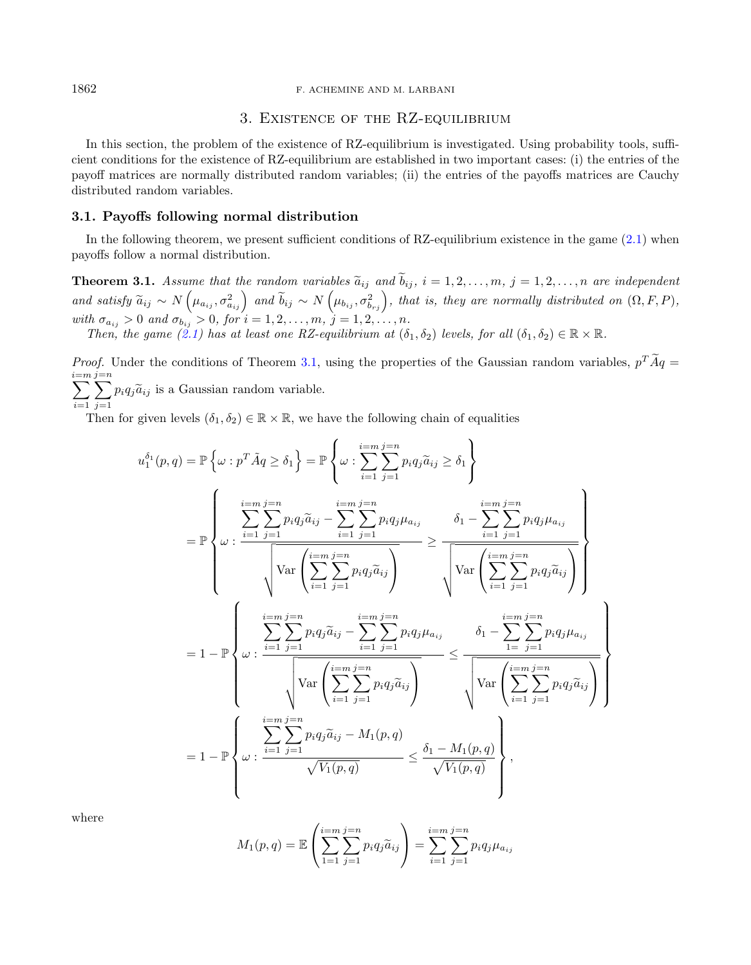# 3. Existence of the RZ-equilibrium

<span id="page-5-0"></span>In this section, the problem of the existence of RZ-equilibrium is investigated. Using probability tools, sufficient conditions for the existence of RZ-equilibrium are established in two important cases: (i) the entries of the payoff matrices are normally distributed random variables; (ii) the entries of the payoffs matrices are Cauchy distributed random variables.

## 3.1. Payoffs following normal distribution

In the following theorem, we present sufficient conditions of RZ-equilibrium existence in the game  $(2.1)$  when payoffs follow a normal distribution.

<span id="page-5-1"></span>**Theorem 3.1.** Assume that the random variables  $\tilde{a}_{ij}$  and  $\tilde{b}_{ij}$ ,  $i = 1, 2, ..., m$ ,  $j = 1, 2, ..., n$  are independent and satisfy  $\widetilde{a}_{ij} \sim N\left(\mu_{a_{ij}}, \sigma_{a_{ij}}^2\right)$  and  $\widetilde{b}_{ij} \sim N\left(\mu_{b_{ij}}, \sigma_{b_{rj}}^2\right)$ , that is, they are normally distributed on  $(\Omega, F, P)$ , with  $\sigma_{a_{ij}} > 0$  and  $\sigma_{b_{ij}} > 0$ , for  $i = 1, 2, ..., m$ ,  $j = 1, 2, ..., n$ .

Then, the game  $(2.1)$  has at least one RZ-equilibrium at  $(\delta_1, \delta_2)$  levels, for all  $(\delta_1, \delta_2) \in \mathbb{R} \times \mathbb{R}$ .

*Proof.* Under the conditions of Theorem [3.1,](#page-5-1) using the properties of the Gaussian random variables,  $p^T A q =$ <br> $\frac{p^T A q}{r}$ i=m<br>了  $i=1$ j=n<br>∑  $\sum_{j=1} p_i q_j \widetilde{a}_{ij}$  is a Gaussian random variable.

Then for given levels  $(\delta_1, \delta_2) \in \mathbb{R} \times \mathbb{R}$ , we have the following chain of equalities

$$
u_1^{\delta_1}(p,q) = \mathbb{P}\left\{\omega : p^T \tilde{A}q \ge \delta_1\right\} = \mathbb{P}\left\{\omega : \sum_{i=1}^{i=m} \sum_{j=1}^{j=n} p_i q_j \tilde{a}_{ij} \ge \delta_1\right\}
$$
  
\n
$$
= \mathbb{P}\left\{\omega : \frac{\sum_{i=1}^{i=m} \sum_{j=1}^{j=n} p_i q_j \tilde{a}_{ij} - \sum_{i=1}^{i=m} \sum_{j=1}^{j=n} p_i q_j \mu_{a_{ij}}}{\sqrt{\text{Var}\left(\sum_{i=1}^{i=m} \sum_{j=1}^{j=n} p_i q_j \tilde{a}_{ij}\right)}} \ge \frac{\delta_1 - \sum_{i=1}^{i=m} \sum_{j=1}^{j=n} p_i q_j \mu_{a_{ij}}}{\sqrt{\text{Var}\left(\sum_{i=1}^{i=m} \sum_{j=1}^{j=n} p_i q_j \tilde{a}_{ij}\right)}}\right\}
$$
  
\n
$$
= 1 - \mathbb{P}\left\{\omega : \frac{\sum_{i=1}^{i=m} \sum_{j=1}^{j=n} p_i q_j \tilde{a}_{ij} - \sum_{i=1}^{i=m} \sum_{j=1}^{j=n} p_i q_j \mu_{a_{ij}}}{\sqrt{\text{Var}\left(\sum_{i=1}^{i=m} \sum_{j=1}^{j=n} p_i q_j \tilde{a}_{ij}\right)}} \le \frac{\delta_1 - \sum_{1=1}^{i=m} \sum_{j=1}^{j=n} p_i q_j \tilde{a}_{ij}}{\sqrt{\text{Var}\left(\sum_{i=1}^{i=m} \sum_{j=1}^{j=n} p_i q_j \tilde{a}_{ij}\right)}}\right\}
$$
  
\n
$$
= 1 - \mathbb{P}\left\{\omega : \frac{\sum_{i=1}^{i=m} \sum_{j=1}^{j=n} p_i q_j \tilde{a}_{ij} - M_1(p, q)}{\sqrt{V_1(p, q)}} \le \frac{\delta_1 - M_1(p, q)}{\sqrt{V_1(p, q)}}\right\},
$$

where

$$
M_1(p,q) = \mathbb{E}\left(\sum_{1=1}^{i=m} \sum_{j=1}^{j=n} p_i q_j \tilde{a}_{ij}\right) = \sum_{i=1}^{i=m} \sum_{j=1}^{j=n} p_i q_j \mu_{a_{ij}}
$$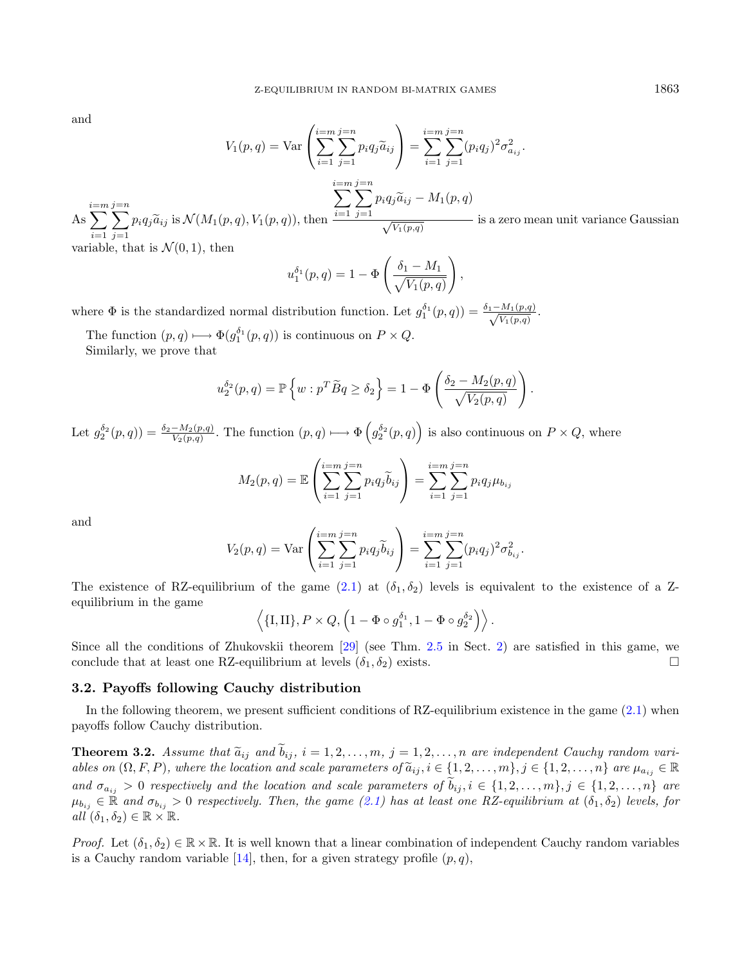and

$$
V_1(p,q) = \text{Var}\left(\sum_{i=1}^{i=m} \sum_{j=1}^{j=n} p_i q_j \tilde{a}_{ij}\right) = \sum_{i=1}^{i=m} \sum_{j=1}^{j=n} (p_i q_j)^2 \sigma_{a_{ij}}^2.
$$
  
\nAs 
$$
\sum_{i=1}^{i=m} \sum_{j=1}^{j=n} p_i q_j \tilde{a}_{ij} \text{ is } \mathcal{N}(M_1(p,q), V_1(p,q)), \text{ then } \frac{\sum_{i=1}^{i=m} \sum_{j=1}^{j=n} p_i q_j \tilde{a}_{ij} - M_1(p,q)}{\sqrt{V_1(p,q)}}
$$
 is a zero mean unit variance Gaussian variable, that is  $\mathcal{N}(0, 1)$ , then

variable, that is  $N(0, 1)$ , then

$$
u_1^{\delta_1}(p,q) = 1 - \Phi\left(\frac{\delta_1 - M_1}{\sqrt{V_1(p,q)}}\right),\,
$$

where  $\Phi$  is the standardized normal distribution function. Let  $g_1^{\delta_1}(p,q) = \frac{\delta_1 - M_1(p,q)}{\sqrt{V_1(p,q)}}$ .

The function  $(p, q) \longmapsto \Phi(g_1^{\delta_1}(p, q))$  is continuous on  $P \times Q$ . Similarly, we prove that

$$
u_2^{\delta_2}(p,q) = \mathbb{P}\left\{w : p^T \widetilde{B}q \ge \delta_2\right\} = 1 - \Phi\left(\frac{\delta_2 - M_2(p,q)}{\sqrt{V_2(p,q)}}\right).
$$

Let  $g_2^{\delta_2}(p,q) = \frac{\delta_2 - M_2(p,q)}{V_2(p,q)}$ . The function  $(p,q) \longrightarrow \Phi\left(g_2^{\delta_2}(p,q)\right)$  is also continuous on  $P \times Q$ , where

$$
M_2(p,q) = \mathbb{E}\left(\sum_{i=1}^{i=m} \sum_{j=1}^{j=n} p_i q_j \widetilde{b}_{ij}\right) = \sum_{i=1}^{i=m} \sum_{j=1}^{j=n} p_i q_j \mu_{b_{ij}}
$$

and

$$
V_2(p,q) = \text{Var}\left(\sum_{i=1}^{i=m} \sum_{j=1}^{j=n} p_i q_j \widetilde{b}_{ij}\right) = \sum_{i=1}^{i=m} \sum_{j=1}^{j=n} (p_i q_j)^2 \sigma_{b_{ij}}^2.
$$

The existence of RZ-equilibrium of the game [\(2.1\)](#page-3-0) at  $(\delta_1, \delta_2)$  levels is equivalent to the existence of a Zequilibrium in the game

$$
\langle \{I,II\}, P \times Q, \left(1 - \Phi \circ g_1^{\delta_1}, 1 - \Phi \circ g_2^{\delta_2}\right)\rangle.
$$

Since all the conditions of Zhukovskii theorem [\[29\]](#page-17-1) (see Thm. [2.5](#page-3-1) in Sect. [2\)](#page-1-0) are satisfied in this game, we conclude that at least one RZ-equilibrium at levels  $(\delta_1, \delta_2)$  exists.

## 3.2. Payoffs following Cauchy distribution

In the following theorem, we present sufficient conditions of RZ-equilibrium existence in the game  $(2.1)$  when payoffs follow Cauchy distribution.

<span id="page-6-0"></span>**Theorem 3.2.** Assume that  $\tilde{a}_{ij}$  and  $\tilde{b}_{ij}$ ,  $i = 1, 2, ..., m$ ,  $j = 1, 2, ..., n$  are independent Cauchy random variables on  $(\Omega, F, P)$ , where the location and scale parameters of  $\tilde{a}_{ij}$ ,  $i \in \{1, 2, ..., m\}$ ,  $j \in \{1, 2, ..., n\}$  are  $\mu_{a_{ij}} \in \mathbb{R}$ and  $\sigma_{a_{ij}} > 0$  respectively and the location and scale parameters of  $b_{ij}, i \in \{1, 2, ..., m\}, j \in \{1, 2, ..., n\}$  are  $\mu_{b_{ij}} \in \mathbb{R}$  and  $\sigma_{b_{ij}} > 0$  respectively. Then, the game [\(2.1\)](#page-3-0) has at least one RZ-equilibrium at  $(\delta_1, \delta_2)$  levels, for all  $(\delta_1, \delta_2) \in \mathbb{R} \times \mathbb{R}$ .

*Proof.* Let  $(\delta_1, \delta_2) \in \mathbb{R} \times \mathbb{R}$ . It is well known that a linear combination of independent Cauchy random variables is a Cauchy random variable [\[14\]](#page-17-28), then, for a given strategy profile  $(p, q)$ ,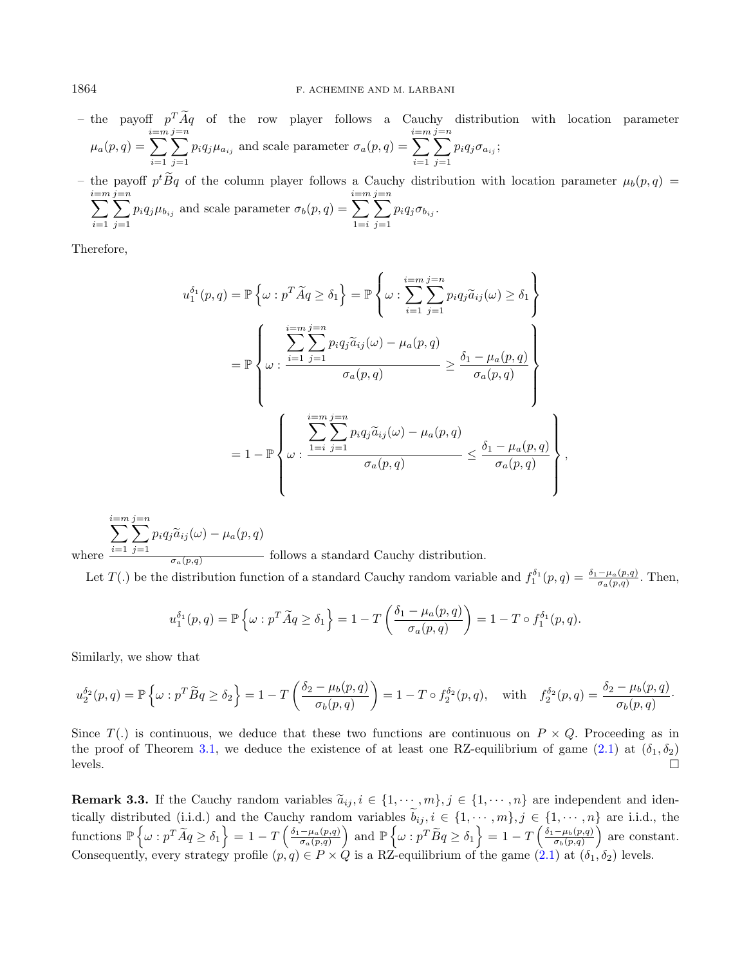– the payoff  $p^T A q$  of the row player follows a Cauchy distribution with location parameter  $\mu_a(p,q) =$ i=m<br>了  $i=1$ j=n<br>了  $j=1$  $p_i q_j \mu_{a_{ij}}$  and scale parameter  $\sigma_a(p, q) =$ i=m<br>了  $i=1$  $\sum^{j=n}$  $j=1$  $p_i q_j \sigma_{a_{ij}};$ 

– the payoff  $p^t B q$  of the column player follows a Cauchy distribution with location parameter  $\mu_b(p,q) =$ i=m<br>了  $i=1$ j=n<br>了  $j=1$  $p_i q_j \mu_{b_{ij}}$  and scale parameter  $\sigma_b(p, q) =$ i=m<br>了  $1=i$ j=n<br>了  $j=1$  $p_i q_j \sigma_{b_{ij}}$ .

Therefore,

$$
u_1^{\delta_1}(p,q) = \mathbb{P}\left\{\omega : p^T \widetilde{A}q \ge \delta_1\right\} = \mathbb{P}\left\{\omega : \sum_{i=1}^{i=m} \sum_{j=1}^{j=n} p_i q_j \widetilde{a}_{ij}(\omega) \ge \delta_1\right\}
$$

$$
= \mathbb{P}\left\{\omega : \frac{\sum_{i=1}^{i=m} \sum_{j=1}^{j=n} p_i q_j \widetilde{a}_{ij}(\omega) - \mu_a(p,q)}{\sigma_a(p,q)} \ge \frac{\delta_1 - \mu_a(p,q)}{\sigma_a(p,q)}\right\}
$$

$$
= 1 - \mathbb{P}\left\{\omega : \frac{\sum_{i=1}^{i=m} \sum_{j=1}^{j=n} p_i q_j \widetilde{a}_{ij}(\omega) - \mu_a(p,q)}{\sigma_a(p,q)} \le \frac{\delta_1 - \mu_a(p,q)}{\sigma_a(p,q)}\right\},\,
$$

where 
$$
\frac{\sum_{i=1}^{i=m} \sum_{j=1}^{j=n} p_i q_j \widetilde{a}_{ij}(\omega) - \mu_a(p,q)}{\sigma_a(p,q)}
$$
 follows a standard Cauchy distribution.

Let  $T(.)$  be the distribution function of a standard Cauchy random variable and  $f_1^{\delta_1}(p,q) = \frac{\delta_1 - \mu_a(p,q)}{\sigma_a(p,q)}$ . Then,

$$
u_1^{\delta_1}(p,q) = \mathbb{P}\left\{\omega : p^T \widetilde{A}q \ge \delta_1\right\} = 1 - T\left(\frac{\delta_1 - \mu_a(p,q)}{\sigma_a(p,q)}\right) = 1 - T \circ f_1^{\delta_1}(p,q).
$$

Similarly, we show that

$$
u_2^{\delta_2}(p,q) = \mathbb{P}\left\{\omega : p^T \widetilde{B}q \ge \delta_2\right\} = 1 - T\left(\frac{\delta_2 - \mu_b(p,q)}{\sigma_b(p,q)}\right) = 1 - T \circ f_2^{\delta_2}(p,q), \quad \text{with} \quad f_2^{\delta_2}(p,q) = \frac{\delta_2 - \mu_b(p,q)}{\sigma_b(p,q)}.
$$

Since  $T(.)$  is continuous, we deduce that these two functions are continuous on  $P \times Q$ . Proceeding as in the proof of Theorem [3.1,](#page-5-1) we deduce the existence of at least one RZ-equilibrium of game [\(2.1\)](#page-3-0) at  $(\delta_1, \delta_2)$ levels.

**Remark 3.3.** If the Cauchy random variables  $\tilde{a}_{ij}$ ,  $i \in \{1, \dots, m\}$ ,  $j \in \{1, \dots, n\}$  are independent and identical identical  $(i, j)$  and the Cauche and integrative  $\tilde{i}$ ,  $j \in \{1, \dots, n\}$  are independent and identica tically distributed (i.i.d.) and the Cauchy random variables  $b_{ij}$ ,  $i \in \{1, \dots, m\}$ ,  $j \in \{1, \dots, n\}$  are i.i.d., the functions  $\mathbb{P}\left\{\omega : p^T \widetilde{A} q \ge \delta_1\right\} = 1 - T \left(\frac{\delta_1 - \mu_a(p,q)}{\sigma_a(p,q)}\right)$  $\left(\frac{-\mu_a(p,q)}{\sigma_a(p,q)}\right)$  and  $\mathbb{P}\left\{\omega: p^T \widetilde{B} q \ge \delta_1\right\} = 1 - T\left(\frac{\delta_1 - \mu_b(p,q)}{\sigma_b(p,q)}\right)$  $\left(\frac{-\mu_b(p,q)}{\sigma_b(p,q)}\right)$  are constant. Consequently, every strategy profile  $(p, q) \in P \times Q$  is a RZ-equilibrium of the game  $(2.1)$  at  $(\delta_1, \delta_2)$  levels.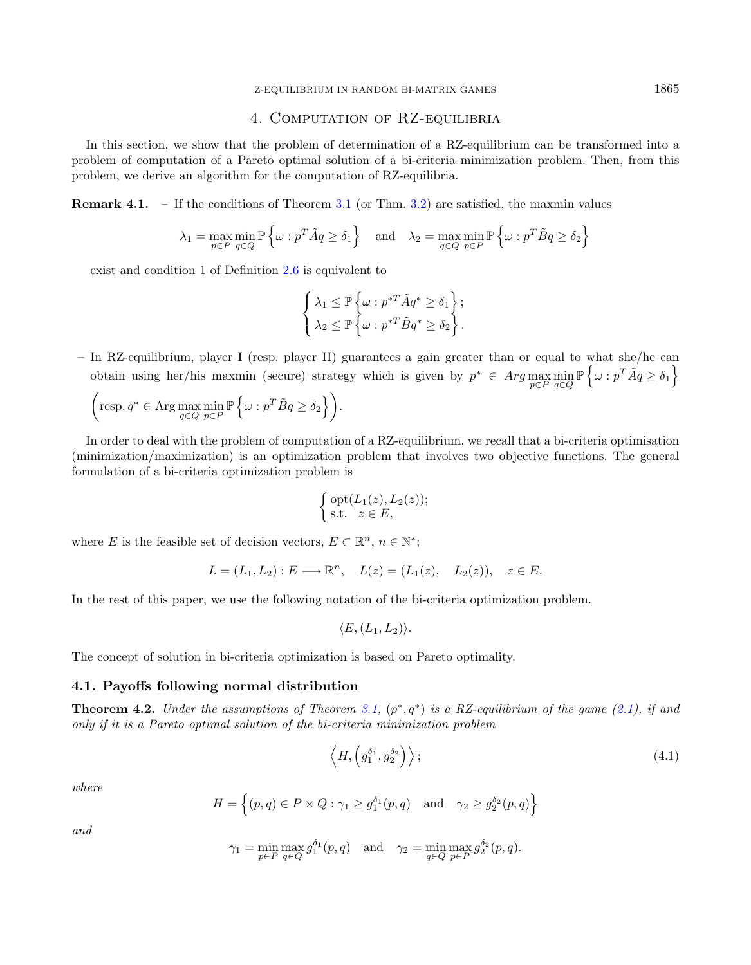## 4. Computation of RZ-equilibria

<span id="page-8-0"></span>In this section, we show that the problem of determination of a RZ-equilibrium can be transformed into a problem of computation of a Pareto optimal solution of a bi-criteria minimization problem. Then, from this problem, we derive an algorithm for the computation of RZ-equilibria.

**Remark 4.1.** – If the conditions of Theorem [3.1](#page-5-1) (or Thm. [3.2\)](#page-6-0) are satisfied, the maxmin values

$$
\lambda_1 = \max_{p \in P} \min_{q \in Q} \mathbb{P} \left\{ \omega : p^T \tilde{A} q \ge \delta_1 \right\} \quad \text{and} \quad \lambda_2 = \max_{q \in Q} \min_{p \in P} \mathbb{P} \left\{ \omega : p^T \tilde{B} q \ge \delta_2 \right\}
$$

exist and condition 1 of Definition [2.6](#page-4-0) is equivalent to

$$
\left\{\begin{aligned}\n\lambda_1 &\leq \mathbb{P}\left\{\omega : p^{*T}\tilde{A}q^* \geq \delta_1\right\}; \\
\lambda_2 &\leq \mathbb{P}\left\{\omega : p^{*T}\tilde{B}q^* \geq \delta_2\right\}.\n\end{aligned}\right.
$$

– In RZ-equilibrium, player I (resp. player II) guarantees a gain greater than or equal to what she/he can obtain using her/his maxmin (secure) strategy which is given by  $p^* \in Arg \max_{p \in P} \min_{q \in Q} \mathbb{P} \left\{ \omega : p^T \tilde{A} q \ge \delta_1 \right\}$ 

$$
\left(\text{resp. } q^* \in \text{Arg}\max_{q \in Q} \min_{p \in P} \mathbb{P}\left\{\omega : p^T \tilde{B} q \ge \delta_2\right\}\right).
$$

In order to deal with the problem of computation of a RZ-equilibrium, we recall that a bi-criteria optimisation (minimization/maximization) is an optimization problem that involves two objective functions. The general formulation of a bi-criteria optimization problem is

$$
\begin{cases} \operatorname{opt}(L_1(z), L_2(z)); \\ \text{s.t.} \quad z \in E, \end{cases}
$$

where E is the feasible set of decision vectors,  $E \subset \mathbb{R}^n$ ,  $n \in \mathbb{N}^*$ ;

$$
L = (L_1, L_2) : E \longrightarrow \mathbb{R}^n, \quad L(z) = (L_1(z), L_2(z)), \quad z \in E.
$$

In the rest of this paper, we use the following notation of the bi-criteria optimization problem.

<span id="page-8-1"></span>
$$
\langle E,(L_1,L_2)\rangle.
$$

The concept of solution in bi-criteria optimization is based on Pareto optimality.

## 4.1. Payoffs following normal distribution

<span id="page-8-2"></span>**Theorem 4.2.** Under the assumptions of Theorem [3.1,](#page-5-1)  $(p^*,q^*)$  is a RZ-equilibrium of the game [\(2.1\)](#page-3-0), if and only if it is a Pareto optimal solution of the bi-criteria minimization problem

$$
\left\langle H, \left( g_1^{\delta_1}, g_2^{\delta_2} \right) \right\rangle; \tag{4.1}
$$

where

$$
H = \left\{ (p, q) \in P \times Q : \gamma_1 \ge g_1^{\delta_1}(p, q) \quad \text{and} \quad \gamma_2 \ge g_2^{\delta_2}(p, q) \right\}
$$

and

$$
\gamma_1 = \min_{p \in P} \max_{q \in Q} g_1^{\delta_1}(p, q) \quad \text{and} \quad \gamma_2 = \min_{q \in Q} \max_{p \in P} g_2^{\delta_2}(p, q).
$$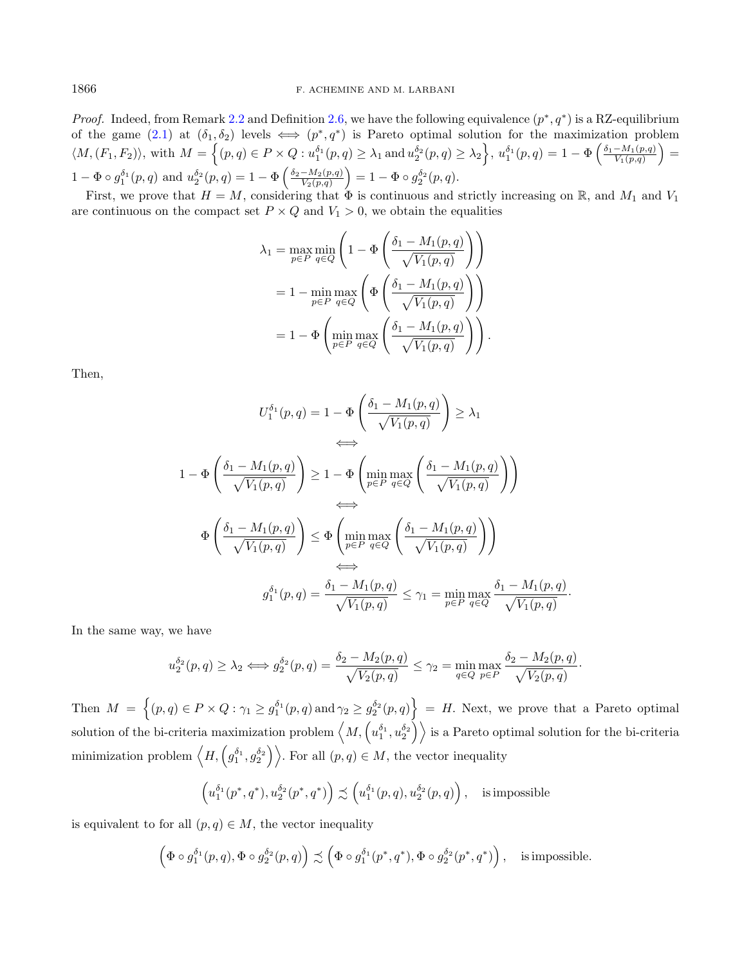*Proof.* Indeed, from Remark [2.2](#page-2-1) and Definition [2.6,](#page-4-0) we have the following equivalence  $(p^*, q^*)$  is a RZ-equilibrium of the game  $(2.1)$  at  $(\delta_1, \delta_2)$  levels  $\iff (p^*, q^*)$  is Pareto optimal solution for the maximization problem  $\langle M, (F_1, F_2) \rangle$ , with  $M = \left\{ (p, q) \in P \times Q : u_1^{\delta_1}(p, q) \geq \lambda_1 \text{ and } u_2^{\delta_2}(p, q) \geq \lambda_2 \right\}$ ,  $u_1^{\delta_1}(p, q) = 1 - \Phi \left( \frac{\delta_1 - M_1(p, q)}{V_1(p, q)} \right)$  $\frac{-M_1(p,q)}{V_1(p,q)}$  =  $1 - \Phi \circ g_1^{\delta_1}(p,q)$  and  $u_2^{\delta_2}(p,q) = 1 - \Phi \left( \frac{\delta_2 - M_2(p,q)}{V_2(p,q)} \right)$  $\frac{-M_2(p,q)}{V_2(p,q)}$   $= 1 - \Phi \circ g_2^{\delta_2}(p,q)$ .

First, we prove that  $H = M$ , considering that  $\Phi$  is continuous and strictly increasing on R, and  $M_1$  and  $V_1$ are continuous on the compact set  $P \times Q$  and  $V_1 > 0$ , we obtain the equalities

$$
\lambda_1 = \max_{p \in P} \min_{q \in Q} \left( 1 - \Phi \left( \frac{\delta_1 - M_1(p, q)}{\sqrt{V_1(p, q)}} \right) \right)
$$
  
= 
$$
1 - \min_{p \in P} \max_{q \in Q} \left( \Phi \left( \frac{\delta_1 - M_1(p, q)}{\sqrt{V_1(p, q)}} \right) \right)
$$
  
= 
$$
1 - \Phi \left( \min_{p \in P} \max_{q \in Q} \left( \frac{\delta_1 - M_1(p, q)}{\sqrt{V_1(p, q)}} \right) \right).
$$

Then,

$$
U_1^{\delta_1}(p,q) = 1 - \Phi\left(\frac{\delta_1 - M_1(p,q)}{\sqrt{V_1(p,q)}}\right) \ge \lambda_1
$$
  
\n
$$
\iff
$$
  
\n
$$
1 - \Phi\left(\frac{\delta_1 - M_1(p,q)}{\sqrt{V_1(p,q)}}\right) \ge 1 - \Phi\left(\min_{p \in P} \max_{q \in Q} \left(\frac{\delta_1 - M_1(p,q)}{\sqrt{V_1(p,q)}}\right)\right)
$$
  
\n
$$
\iff
$$
  
\n
$$
\Phi\left(\frac{\delta_1 - M_1(p,q)}{\sqrt{V_1(p,q)}}\right) \le \Phi\left(\min_{p \in P} \max_{q \in Q} \left(\frac{\delta_1 - M_1(p,q)}{\sqrt{V_1(p,q)}}\right)\right)
$$
  
\n
$$
\iff
$$
  
\n
$$
g_1^{\delta_1}(p,q) = \frac{\delta_1 - M_1(p,q)}{\sqrt{V_1(p,q)}} \le \gamma_1 = \min_{p \in P} \max_{q \in Q} \frac{\delta_1 - M_1(p,q)}{\sqrt{V_1(p,q)}}
$$

In the same way, we have

$$
u_2^{\delta_2}(p,q) \ge \lambda_2 \Longleftrightarrow g_2^{\delta_2}(p,q) = \frac{\delta_2 - M_2(p,q)}{\sqrt{V_2(p,q)}} \le \gamma_2 = \min_{q \in Q} \max_{p \in P} \frac{\delta_2 - M_2(p,q)}{\sqrt{V_2(p,q)}}.
$$

·

Then  $M = \{(p, q) \in P \times Q : \gamma_1 \geq g_1^{\delta_1}(p, q) \text{ and } \gamma_2 \geq g_2^{\delta_2}(p, q)\} = H$ . Next, we prove that a Pareto optimal solution of the bi-criteria maximization problem  $\langle M, \left(u_1^{\delta_1}, u_2^{\delta_2}\right)\rangle$  is a Pareto optimal solution for the bi-criteria minimization problem  $\langle H, \left( g_1^{\delta_1}, g_2^{\delta_2} \right) \rangle$ . For all  $(p, q) \in M$ , the vector inequality

$$
\left(u_1^{\delta_1}(p^*,q^*),u_2^{\delta_2}(p^*,q^*)\right) \precsim \left(u_1^{\delta_1}(p,q),u_2^{\delta_2}(p,q)\right), \quad \text{is impossible}
$$

is equivalent to for all  $(p, q) \in M$ , the vector inequality

$$
\left(\Phi \circ g_1^{\delta_1}(p,q), \Phi \circ g_2^{\delta_2}(p,q)\right) \precsim \left(\Phi \circ g_1^{\delta_1}(p^*,q^*), \Phi \circ g_2^{\delta_2}(p^*,q^*)\right), \quad \text{is impossible.}
$$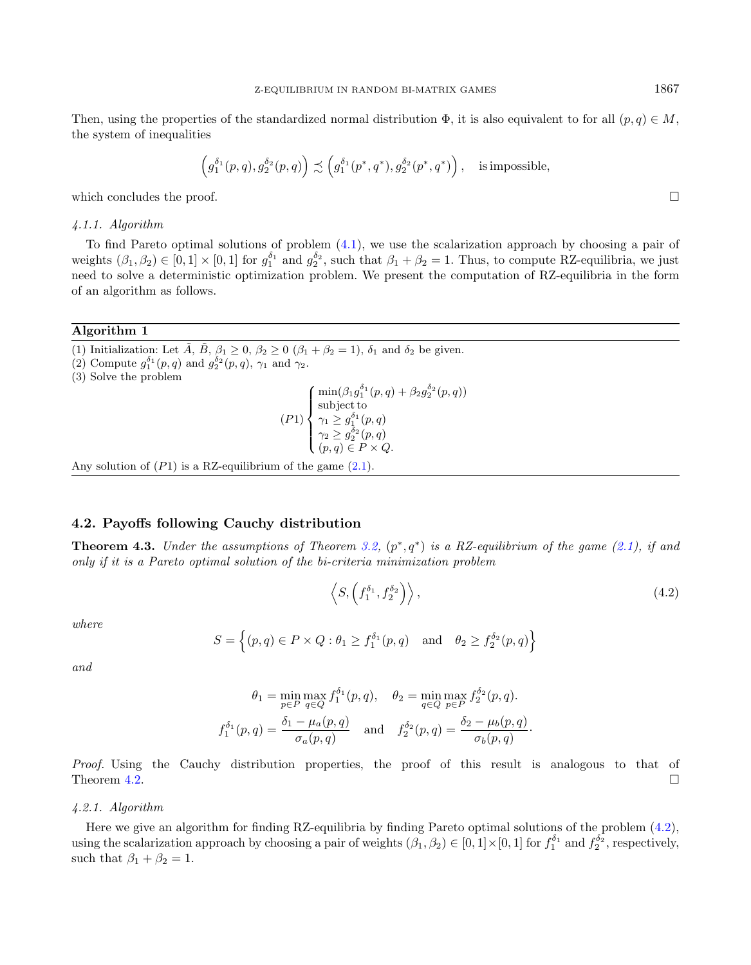$$
\left(g_1^{\delta_1}(p,q),g_2^{\delta_2}(p,q)\right)\precsim \left(g_1^{\delta_1}(p^*,q^*),g_2^{\delta_2}(p^*,q^*)\right),\quad\text{is impossible},
$$

which concludes the proof.  $\Box$ 

#### 4.1.1. Algorithm

To find Pareto optimal solutions of problem  $(4.1)$ , we use the scalarization approach by choosing a pair of weights  $(\beta_1, \beta_2) \in [0, 1] \times [0, 1]$  for  $g_1^{\delta_1}$  and  $g_2^{\delta_2}$ , such that  $\beta_1 + \beta_2 = 1$ . Thus, to compute RZ-equilibria, we just need to solve a deterministic optimization problem. We present the computation of RZ-equilibria in the form of an algorithm as follows.

## Algorithm 1

(1) Initialization: Let  $\tilde{A}$ ,  $\tilde{B}$ ,  $\beta_1 \geq 0$ ,  $\beta_2 \geq 0$  ( $\beta_1 + \beta_2 = 1$ ),  $\delta_1$  and  $\delta_2$  be given.

(2) Compute  $g_1^{\delta_1}(p,q)$  and  $g_2^{\delta_2}(p,q)$ ,  $\gamma_1$  and  $\gamma_2$ .

(3) Solve the problem

$$
(P1) \begin{cases} \min(\beta_1 g_1^{\delta_1}(p,q) + \beta_2 g_2^{\delta_2}(p,q)) \\ \text{subject to} \\ \gamma_1 \ge g_1^{\delta_1}(p,q) \\ \gamma_2 \ge g_2^{\delta_2}(p,q) \\ (p,q) \in P \times Q. \end{cases}
$$

Any solution of  $(P1)$  is a RZ-equilibrium of the game  $(2.1)$ .

## 4.2. Payoffs following Cauchy distribution

**Theorem 4.3.** Under the assumptions of Theorem [3.2,](#page-6-0)  $(p^*,q^*)$  is a RZ-equilibrium of the game [\(2.1\)](#page-3-0), if and only if it is a Pareto optimal solution of the bi-criteria minimization problem

$$
\left\langle S, \left( f_1^{\delta_1}, f_2^{\delta_2} \right) \right\rangle, \tag{4.2}
$$

where

$$
S = \left\{ (p, q) \in P \times Q : \theta_1 \ge f_1^{\delta_1}(p, q) \quad \text{and} \quad \theta_2 \ge f_2^{\delta_2}(p, q) \right\}
$$

and

$$
\theta_1 = \min_{p \in P} \max_{q \in Q} f_1^{\delta_1}(p, q), \quad \theta_2 = \min_{q \in Q} \max_{p \in P} f_2^{\delta_2}(p, q).
$$
  

$$
f_1^{\delta_1}(p, q) = \frac{\delta_1 - \mu_a(p, q)}{\sigma_a(p, q)} \quad \text{and} \quad f_2^{\delta_2}(p, q) = \frac{\delta_2 - \mu_b(p, q)}{\sigma_b(p, q)}.
$$

Proof. Using the Cauchy distribution properties, the proof of this result is analogous to that of Theorem [4.2.](#page-8-2)

## 4.2.1. Algorithm

Here we give an algorithm for finding RZ-equilibria by finding Pareto optimal solutions of the problem [\(4.2\)](#page-10-0), using the scalarization approach by choosing a pair of weights  $(\beta_1, \beta_2) \in [0, 1] \times [0, 1]$  for  $f_1^{\delta_1}$  and  $f_2^{\delta_2}$ , respectively, such that  $\beta_1 + \beta_2 = 1$ .

<span id="page-10-0"></span>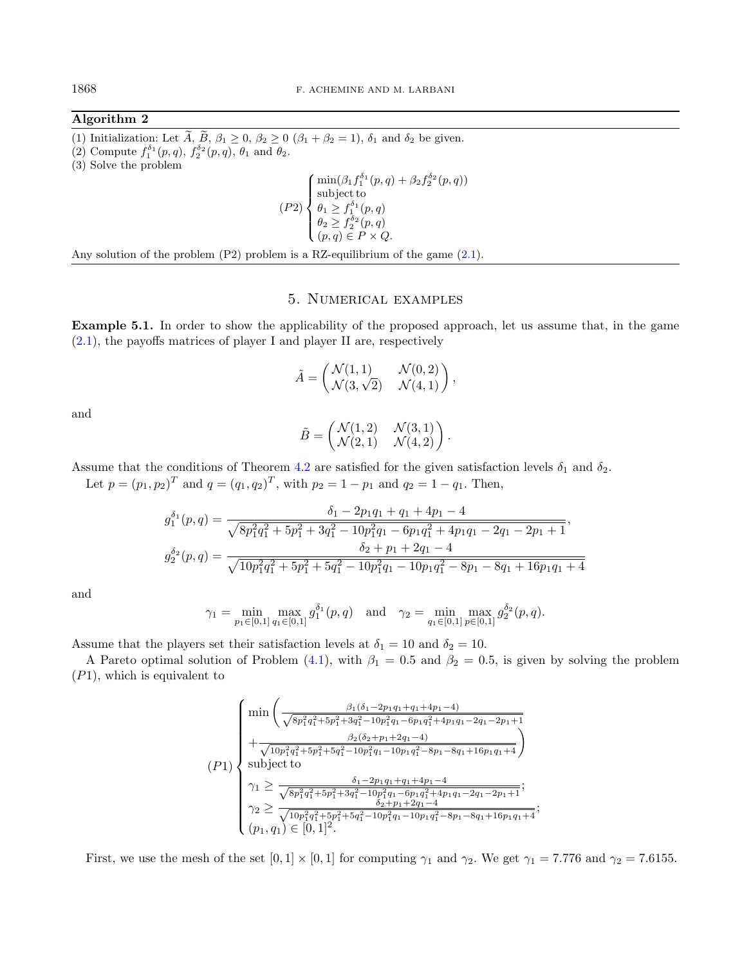## Algorithm 2

(1) Initialization: Let  $\widetilde{A}$ ,  $\widetilde{B}$ ,  $\beta_1 \geq 0$ ,  $\beta_2 \geq 0$  ( $\beta_1 + \beta_2 = 1$ ),  $\delta_1$  and  $\delta_2$  be given. (2) Compute  $f_1^{\delta_1}(p,q)$ ,  $f_2^{\delta_2}(p,q)$ ,  $\theta_1$  and  $\theta_2$ . (3) Solve the problem  $(P2)$  $\overline{a}$  $\bigg|$  $\frac{1}{2}$  $\min(\beta_1 f_1^{\delta_1}(p,q) + \beta_2 f_2^{\delta_2}(p,q))$ subject to  $\theta_1 \geq f_1^{\delta_1}(p,q)$  $\theta_2 \geq f_2^{\delta_2}(p,q)$  $(p, q) \in P \times Q$ .

Any solution of the problem  $(P2)$  problem is a RZ-equilibrium of the game  $(2.1)$ .

# 5. Numerical examples

<span id="page-11-1"></span><span id="page-11-0"></span>Example 5.1. In order to show the applicability of the proposed approach, let us assume that, in the game  $(2.1)$ , the payoffs matrices of player I and player II are, respectively

$$
\tilde{A} = \begin{pmatrix} \mathcal{N}(1,1) & \mathcal{N}(0,2) \\ \mathcal{N}(3,\sqrt{2}) & \mathcal{N}(4,1) \end{pmatrix},
$$

and

$$
\tilde{B} = \begin{pmatrix} \mathcal{N}(1,2) & \mathcal{N}(3,1) \\ \mathcal{N}(2,1) & \mathcal{N}(4,2) \end{pmatrix}.
$$

Assume that the conditions of Theorem [4.2](#page-8-2) are satisfied for the given satisfaction levels  $\delta_1$  and  $\delta_2$ .

Let  $p = (p_1, p_2)^T$  and  $q = (q_1, q_2)^T$ , with  $p_2 = 1 - p_1$  and  $q_2 = 1 - q_1$ . Then,

$$
g_1^{\delta_1}(p,q) = \frac{\delta_1 - 2p_1q_1 + q_1 + 4p_1 - 4}{\sqrt{8p_1^2q_1^2 + 5p_1^2 + 3q_1^2 - 10p_1^2q_1 - 6p_1q_1^2 + 4p_1q_1 - 2q_1 - 2p_1 + 1}},
$$
  
\n
$$
g_2^{\delta_2}(p,q) = \frac{\delta_2 + p_1 + 2q_1 - 4}{\sqrt{10p_1^2q_1^2 + 5p_1^2 + 5q_1^2 - 10p_1^2q_1 - 10p_1q_1^2 - 8p_1 - 8q_1 + 16p_1q_1 + 4}}
$$

and

$$
\gamma_1 = \min_{p_1 \in [0,1]} \max_{q_1 \in [0,1]} g_1^{\delta_1}(p,q) \quad \text{and} \quad \gamma_2 = \min_{q_1 \in [0,1]} \max_{p \in [0,1]} g_2^{\delta_2}(p,q).
$$

Assume that the players set their satisfaction levels at  $\delta_1 = 10$  and  $\delta_2 = 10$ .

A Pareto optimal solution of Problem [\(4.1\)](#page-8-1), with  $\beta_1 = 0.5$  and  $\beta_2 = 0.5$ , is given by solving the problem  $(P1)$ , which is equivalent to

$$
(P1)
$$
\n
$$
\begin{cases}\n\min \left( \frac{\beta_1(\delta_1 - 2p_1q_1 + q_1 + 4p_1 - 4)}{\sqrt{8p_1^2q_1^2 + 5p_1^2 + 3q_1^2 - 10p_1^2q_1 - 6p_1q_1^2 + 4p_1q_1 - 2q_1 - 2p_1 + 1}} + \frac{\beta_2(\delta_2 + p_1 + 2q_1 - 4)}{\sqrt{10p_1^2q_1^2 + 5p_1^2 + 5p_1^2 - 10p_1^2q_1 - 10p_1q_1^2 - 8p_1 - 8q_1 + 16p_1q_1 + 4}}\n\end{cases}
$$
\n
$$
(P1)
$$
\n
$$
\begin{cases}\n\gamma_1 \ge \frac{\delta_1 - 2p_1q_1 + q_1 + 4p_1 - 4}{\sqrt{8p_1^2q_1^2 + 5p_1^2 + 3q_1^2 - 10p_1^2q_1 - 6p_1q_1^2 + 4p_1q_1 - 2q_1 - 2p_1 + 1}}; \\
\gamma_2 \ge \frac{\delta_2 + p_1 + 2q_1 - 4}{\sqrt{10p_1^2q_1^2 + 5p_1^2 + 5q_1^2 - 10p_1^2q_1 - 10p_1q_1^2 - 8p_1 - 8q_1 + 16p_1q_1 + 4}}; \\
(p_1, q_1) \in [0, 1]^2.\n\end{cases}
$$

First, we use the mesh of the set  $[0, 1] \times [0, 1]$  for computing  $\gamma_1$  and  $\gamma_2$ . We get  $\gamma_1 = 7.776$  and  $\gamma_2 = 7.6155$ .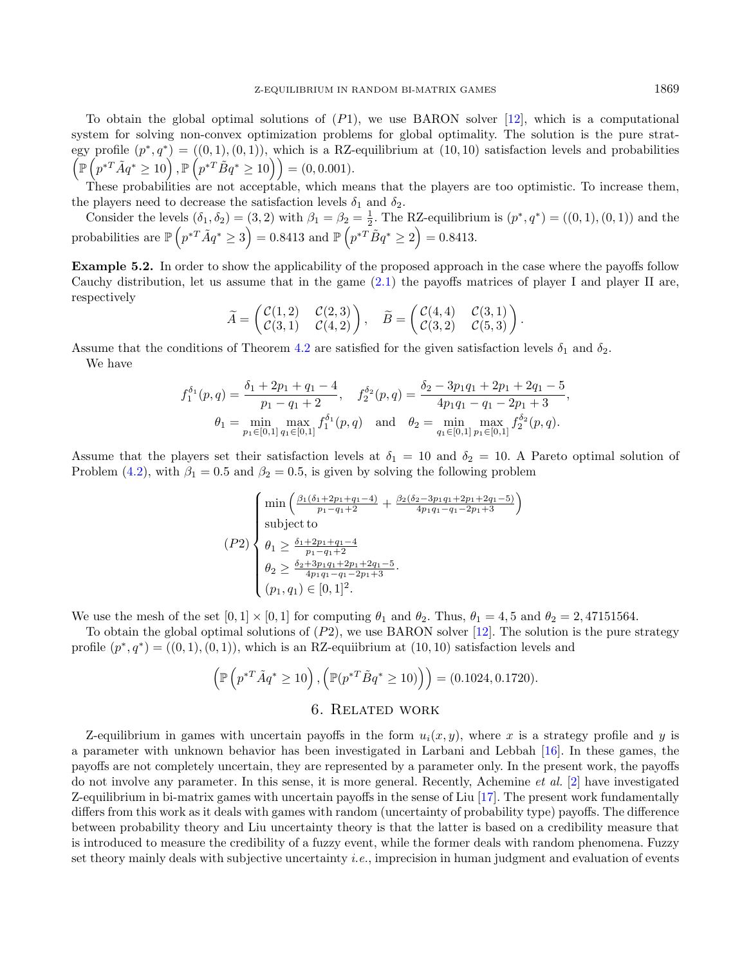To obtain the global optimal solutions of  $(P1)$ , we use BARON solver [\[12\]](#page-17-29), which is a computational system for solving non-convex optimization problems for global optimality. The solution is the pure strategy profile  $(p^*,q^*) = ((0,1),(0,1))$ , which is a RZ-equilibrium at  $(10,10)$  satisfaction levels and probabilities  $\left(\mathbb{P}\left(p^{*T}\tilde{A}q^*\geq10\right),\mathbb{P}\left(p^{*T}\tilde{B}q^*\geq10\right)\right)=(0,0.001).$ 

These probabilities are not acceptable, which means that the players are too optimistic. To increase them, the players need to decrease the satisfaction levels  $\delta_1$  and  $\delta_2$ .

Consider the levels  $(\delta_1, \delta_2) = (3, 2)$  with  $\beta_1 = \beta_2 = \frac{1}{2}$ . The RZ-equilibrium is  $(p^*, q^*) = ((0, 1), (0, 1))$  and the probabilities are  $\mathbb{P}\left(p^{*T}\tilde{A}q^*\geq 3\right)=0.8413$  and  $\mathbb{P}\left(p^{*T}\tilde{B}q^*\geq 2\right)=0.8413$ .

Example 5.2. In order to show the applicability of the proposed approach in the case where the payoffs follow Cauchy distribution, let us assume that in the game [\(2.1\)](#page-3-0) the payoffs matrices of player I and player II are, respectively

$$
\widetilde{A} = \begin{pmatrix} \mathcal{C}(1,2) & \mathcal{C}(2,3) \\ \mathcal{C}(3,1) & \mathcal{C}(4,2) \end{pmatrix}, \quad \widetilde{B} = \begin{pmatrix} \mathcal{C}(4,4) & \mathcal{C}(3,1) \\ \mathcal{C}(3,2) & \mathcal{C}(5,3) \end{pmatrix}
$$

.

Assume that the conditions of Theorem [4.2](#page-8-2) are satisfied for the given satisfaction levels  $\delta_1$  and  $\delta_2$ . We have

$$
f_1^{\delta_1}(p,q) = \frac{\delta_1 + 2p_1 + q_1 - 4}{p_1 - q_1 + 2}, \quad f_2^{\delta_2}(p,q) = \frac{\delta_2 - 3p_1q_1 + 2p_1 + 2q_1 - 5}{4p_1q_1 - q_1 - 2p_1 + 3},
$$
  

$$
\theta_1 = \min_{p_1 \in [0,1]} \max_{q_1 \in [0,1]} f_1^{\delta_1}(p,q) \quad \text{and} \quad \theta_2 = \min_{q_1 \in [0,1]} \max_{p_1 \in [0,1]} f_2^{\delta_2}(p,q).
$$

Assume that the players set their satisfaction levels at  $\delta_1 = 10$  and  $\delta_2 = 10$ . A Pareto optimal solution of Problem [\(4.2\)](#page-10-0), with  $\beta_1 = 0.5$  and  $\beta_2 = 0.5$ , is given by solving the following problem

$$
(P2)\n\begin{cases}\n\min\left(\frac{\beta_1(\delta_1+2p_1+q_1-4)}{p_1-q_1+2} + \frac{\beta_2(\delta_2-3p_1q_1+2p_1+2q_1-5)}{4p_1q_1-q_1-2p_1+3}\right) \\
\text{subject to} \\
\theta_1 \ge \frac{\delta_1+2p_1+q_1-4}{p_1-q_1+2} \\
\theta_2 \ge \frac{\delta_2+3p_1q_1+2p_1+2q_1-5}{4p_1q_1-q_1-2p_1+3} \\
(p_1, q_1) \in [0, 1]^2.\n\end{cases}
$$

We use the mesh of the set  $[0, 1] \times [0, 1]$  for computing  $\theta_1$  and  $\theta_2$ . Thus,  $\theta_1 = 4, 5$  and  $\theta_2 = 2, 47151564$ .

To obtain the global optimal solutions of  $(P2)$ , we use BARON solver [\[12\]](#page-17-29). The solution is the pure strategy profile  $(p^*, q^*) = ((0, 1), (0, 1)),$  which is an RZ-equiibrium at  $(10, 10)$  satisfaction levels and

$$
\left(\mathbb{P}\left(p^{*T}\tilde{A}q^* \ge 10\right), \left(\mathbb{P}(p^{*T}\tilde{B}q^* \ge 10)\right)\right) = (0.1024, 0.1720).
$$
  
6. RELATED WORK

<span id="page-12-0"></span>Z-equilibrium in games with uncertain payoffs in the form  $u_i(x, y)$ , where x is a strategy profile and y is a parameter with unknown behavior has been investigated in Larbani and Lebbah [\[16\]](#page-17-6). In these games, the payoffs are not completely uncertain, they are represented by a parameter only. In the present work, the payoffs do not involve any parameter. In this sense, it is more general. Recently, Achemine *et al.* [\[2\]](#page-17-10) have investigated Z-equilibrium in bi-matrix games with uncertain payoffs in the sense of Liu [\[17\]](#page-17-11). The present work fundamentally differs from this work as it deals with games with random (uncertainty of probability type) payoffs. The difference between probability theory and Liu uncertainty theory is that the latter is based on a credibility measure that is introduced to measure the credibility of a fuzzy event, while the former deals with random phenomena. Fuzzy set theory mainly deals with subjective uncertainty i.e., imprecision in human judgment and evaluation of events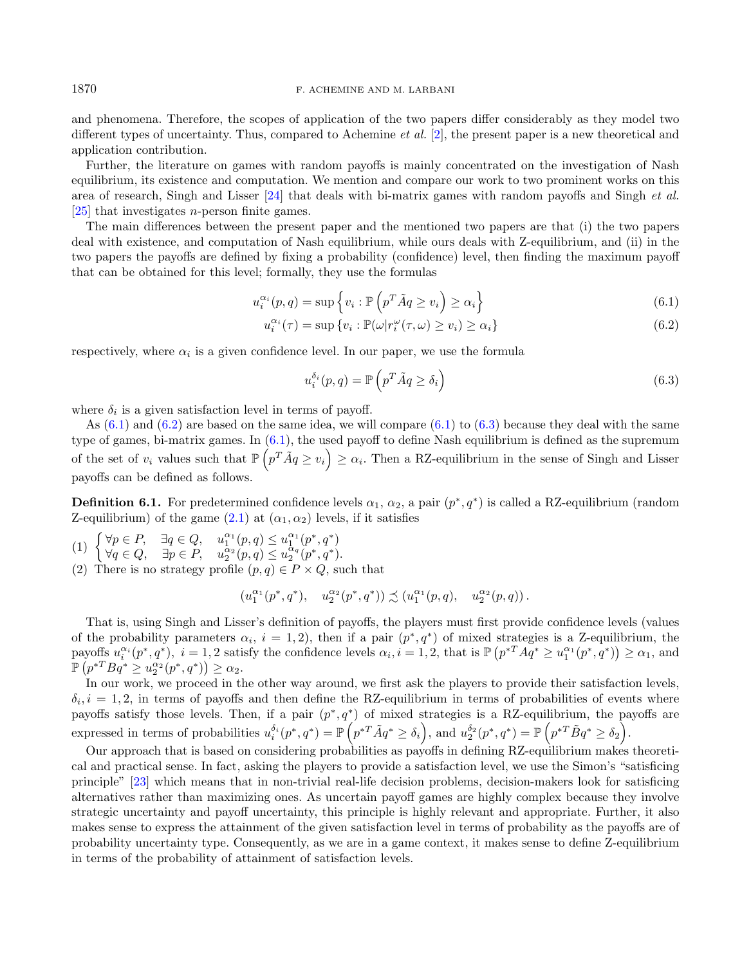and phenomena. Therefore, the scopes of application of the two papers differ considerably as they model two different types of uncertainty. Thus, compared to Achemine et al. [\[2\]](#page-17-10), the present paper is a new theoretical and application contribution.

Further, the literature on games with random payoffs is mainly concentrated on the investigation of Nash equilibrium, its existence and computation. We mention and compare our work to two prominent works on this area of research, Singh and Lisser [\[24\]](#page-17-25) that deals with bi-matrix games with random payoffs and Singh et al.  $[25]$  that investigates *n*-person finite games.

The main differences between the present paper and the mentioned two papers are that (i) the two papers deal with existence, and computation of Nash equilibrium, while ours deals with Z-equilibrium, and (ii) in the two papers the payoffs are defined by fixing a probability (confidence) level, then finding the maximum payoff that can be obtained for this level; formally, they use the formulas

$$
u_i^{\alpha_i}(p,q) = \sup \left\{ v_i : \mathbb{P}\left(p^T \tilde{A} q \ge v_i\right) \ge \alpha_i \right\} \tag{6.1}
$$

$$
u_i^{\alpha_i}(\tau) = \sup \{ v_i : \mathbb{P}(\omega | r_i^{\omega}(\tau, \omega) \ge v_i) \ge \alpha_i \}
$$
\n(6.2)

respectively, where  $\alpha_i$  is a given confidence level. In our paper, we use the formula

<span id="page-13-2"></span><span id="page-13-1"></span><span id="page-13-0"></span>
$$
u_i^{\delta_i}(p,q) = \mathbb{P}\left(p^T \tilde{A}q \ge \delta_i\right) \tag{6.3}
$$

where  $\delta_i$  is a given satisfaction level in terms of payoff.

As  $(6.1)$  and  $(6.2)$  are based on the same idea, we will compare  $(6.1)$  to  $(6.3)$  because they deal with the same type of games, bi-matrix games. In [\(6.1\)](#page-13-0), the used payoff to define Nash equilibrium is defined as the supremum of the set of  $v_i$  values such that  $\mathbb{P}\left(p^T \tilde{A} q \geq v_i\right) \geq \alpha_i$ . Then a RZ-equilibrium in the sense of Singh and Lisser payoffs can be defined as follows.

<span id="page-13-3"></span>**Definition 6.1.** For predetermined confidence levels  $\alpha_1, \alpha_2,$  a pair  $(p^*, q^*)$  is called a RZ-equilibrium (random Z-equilibrium) of the game  $(2.1)$  at  $(\alpha_1, \alpha_2)$  levels, if it satisfies

- (1)  $\begin{cases} \forall p \in P, & \exists q \in Q, \quad u_1^{\alpha_1}(p,q) \leq u_1^{\alpha_1}(p^*,q^*) \\ \forall \alpha \in Q, & \exists \alpha \in P, \quad u_1^{\alpha_2}(p,q) \leq u_1^{\alpha_3}(p^*,q^*) \end{cases}$  $\forall q \in Q, \quad \exists p \in P, \quad u_2^{\alpha_2}(p,q) \leq u_2^{\alpha_q}(p^*,q^*).$
- (2) There is no strategy profile  $(p, q) \in P \times Q$ , such that

$$
(u_1^{\alpha_1}(p^*,q^*),\quad u_2^{\alpha_2}(p^*,q^*))\precsim (u_1^{\alpha_1}(p,q),\quad u_2^{\alpha_2}(p,q))\,.
$$

That is, using Singh and Lisser's definition of payoffs, the players must first provide confidence levels (values of the probability parameters  $\alpha_i$ ,  $i = 1, 2$ , then if a pair  $(p^*, q^*)$  of mixed strategies is a Z-equilibrium, the payoffs  $u_i^{\alpha_i}(p^*,q^*)$ ,  $i=1,2$  satisfy the confidence levels  $\alpha_i$ ,  $i=1,2$ , that is  $\mathbb{P}\left(p^{*T} A q^* \geq u_1^{\alpha_1}(p^*,q^*)\right) \geq \alpha_1$ , and  $\mathbb{P}\left(p^{*T}Bq^* \geq u_2^{\alpha_2}(p^*,q^*)\right) \geq \alpha_2.$ 

In our work, we proceed in the other way around, we first ask the players to provide their satisfaction levels,  $\delta_i, i = 1, 2$ , in terms of payoffs and then define the RZ-equilibrium in terms of probabilities of events where payoffs satisfy those levels. Then, if a pair  $(p^*, q^*)$  of mixed strategies is a RZ-equilibrium, the payoffs are expressed in terms of probabilities  $u_i^{\delta_i}(p^*,q^*) = \mathbb{P}\left(p^{*T}\tilde{A}q^* \geq \delta_i\right)$ , and  $u_2^{\delta_2}(p^*,q^*) = \mathbb{P}\left(p^{*T}\tilde{B}q^* \geq \delta_2\right)$ .

Our approach that is based on considering probabilities as payoffs in defining RZ-equilibrium makes theoretical and practical sense. In fact, asking the players to provide a satisfaction level, we use the Simon's "satisficing principle" [\[23\]](#page-17-26) which means that in non-trivial real-life decision problems, decision-makers look for satisficing alternatives rather than maximizing ones. As uncertain payoff games are highly complex because they involve strategic uncertainty and payoff uncertainty, this principle is highly relevant and appropriate. Further, it also makes sense to express the attainment of the given satisfaction level in terms of probability as the payoffs are of probability uncertainty type. Consequently, as we are in a game context, it makes sense to define Z-equilibrium in terms of the probability of attainment of satisfaction levels.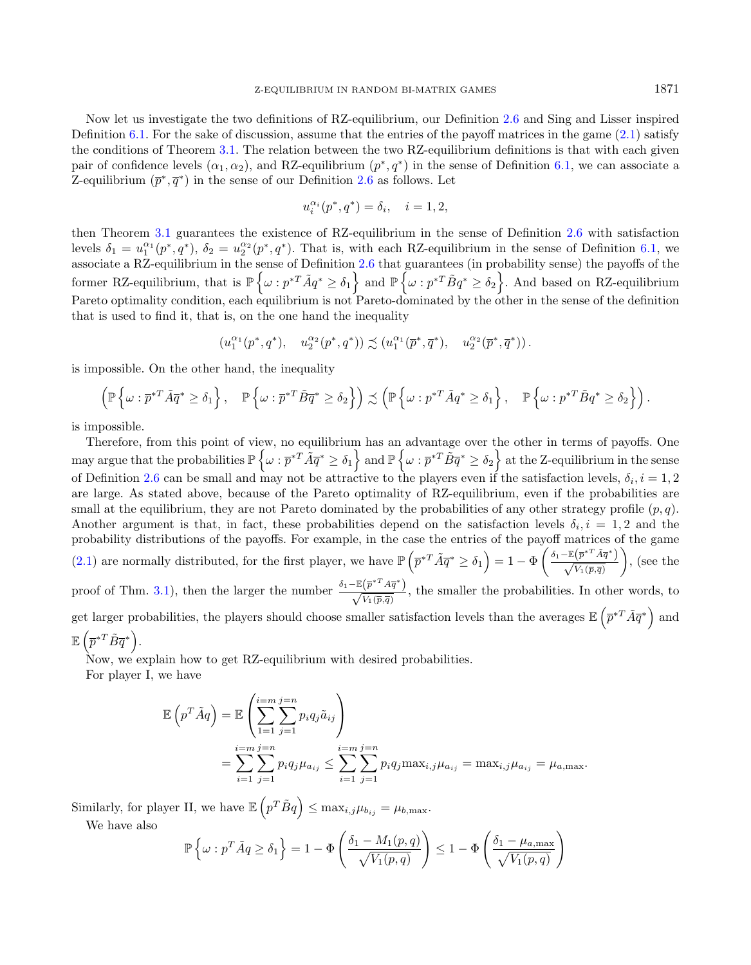Now let us investigate the two definitions of RZ-equilibrium, our Definition [2.6](#page-4-0) and Sing and Lisser inspired Definition [6.1.](#page-13-3) For the sake of discussion, assume that the entries of the payoff matrices in the game  $(2.1)$  satisfy the conditions of Theorem [3.1.](#page-5-1) The relation between the two RZ-equilibrium definitions is that with each given pair of confidence levels  $(\alpha_1, \alpha_2)$ , and RZ-equilibrium  $(p^*, q^*)$  in the sense of Definition [6.1,](#page-13-3) we can associate a Z-equilibrium  $(\bar{p}^*, \bar{q}^*)$  in the sense of our Definition [2.6](#page-4-0) as follows. Let

$$
u_i^{\alpha_i}(p^*, q^*) = \delta_i, \quad i = 1, 2,
$$

then Theorem [3.1](#page-5-1) guarantees the existence of RZ-equilibrium in the sense of Definition [2.6](#page-4-0) with satisfaction levels  $\delta_1 = u_1^{\alpha_1}(p^*, q^*)$ ,  $\delta_2 = u_2^{\alpha_2}(p^*, q^*)$ . That is, with each RZ-equilibrium in the sense of Definition [6.1,](#page-13-3) we associate a RZ-equilibrium in the sense of Definition [2.6](#page-4-0) that guarantees (in probability sense) the payoffs of the former RZ-equilibrium, that is  $\mathbb{P}\left\{\omega : p^{*T} \tilde{A} q^* \geq \delta_1 \right\}$  and  $\mathbb{P}\left\{\omega : p^{*T} \tilde{B} q^* \geq \delta_2 \right\}$ . And based on RZ-equilibrium Pareto optimality condition, each equilibrium is not Pareto-dominated by the other in the sense of the definition that is used to find it, that is, on the one hand the inequality

$$
\left(u_1^{\alpha_1}(p^*,q^*),\quad u_2^{\alpha_2}(p^*,q^*)\right)\precsim \left(u_1^{\alpha_1}(\overline{p}^*,\overline{q}^*),\quad u_2^{\alpha_2}(\overline{p}^*,\overline{q}^*)\right).
$$

is impossible. On the other hand, the inequality

$$
\left(\mathbb{P}\left\{\omega:\overline{p}^{*T}\tilde{A}\overline{q}^*\geq \delta_1\right\},\quad \mathbb{P}\left\{\omega:\overline{p}^{*T}\tilde{B}\overline{q}^*\geq \delta_2\right\}\right)\precsim \left(\mathbb{P}\left\{\omega:p^{*T}\tilde{A}q^*\geq \delta_1\right\},\quad \mathbb{P}\left\{\omega:p^{*T}\tilde{B}q^*\geq \delta_2\right\}\right).
$$

is impossible.

Therefore, from this point of view, no equilibrium has an advantage over the other in terms of payoffs. One may argue that the probabilities  $\mathbb{P}\left\{\omega: \overline{p}^{*T} \tilde{A} \overline{q}^* \geq \delta_1 \right\}$  and  $\mathbb{P}\left\{\omega: \overline{p}^{*T} \tilde{B} \overline{q}^* \geq \delta_2 \right\}$  at the Z-equilibrium in the sense of Definition [2.6](#page-4-0) can be small and may not be attractive to the players even if the satisfaction levels,  $\delta_i$ ,  $i = 1, 2$ are large. As stated above, because of the Pareto optimality of RZ-equilibrium, even if the probabilities are small at the equilibrium, they are not Pareto dominated by the probabilities of any other strategy profile  $(p, q)$ . Another argument is that, in fact, these probabilities depend on the satisfaction levels  $\delta_i$ ,  $i = 1, 2$  and the probability distributions of the payoffs. For example, in the case the entries of the payoff matrices of the game [\(2.1\)](#page-3-0) are normally distributed, for the first player, we have  $\mathbb{P}\left(\bar{p}^{*T}\tilde{A}\bar{q}^* \geq \delta_1\right) = 1 - \Phi\left(\frac{\delta_1 - \mathbb{E}\left(\bar{p}^{*T}\tilde{A}\bar{q}^*\right)}{\sqrt{V_1(\bar{p},\bar{q})}}\right)$  $\Big)$ , (see the proof of Thm. [3.1\)](#page-5-1), then the larger the number  $\frac{\delta_1 - \mathbb{E}(\bar{p}^{*T} A \bar{q}^*)}{\sqrt{V_1(\bar{p}, \bar{q})}}$ , the smaller the probabilities. In other words, to

get larger probabilities, the players should choose smaller satisfaction levels than the averages  $\mathbb{E}\left(\bar{p}^{*T}\tilde{A}\bar{q}^*\right)$  and  $\mathbb{E}\left(\overline{p}^{*T}\tilde{B}\overline{q}^*\right)$ .

Now, we explain how to get RZ-equilibrium with desired probabilities.

For player I, we have

$$
\mathbb{E}\left(p^T \tilde{A}q\right) = \mathbb{E}\left(\sum_{1=1}^{i=m} \sum_{j=1}^{j=n} p_i q_j \tilde{a}_{ij}\right)
$$
  
= 
$$
\sum_{i=1}^{i=m} \sum_{j=1}^{j=n} p_i q_j \mu_{a_{ij}} \le \sum_{i=1}^{i=m} \sum_{j=1}^{j=n} p_i q_j \max_{i,j} \mu_{a_{ij}} = \max_{i,j} \mu_{a_{ij}} = \mu_{a,\max}.
$$

Similarly, for player II, we have  $\mathbb{E}\left(p^T \tilde{B} q\right) \leq \max_{i,j} \mu_{b_{ij}} = \mu_{b,\max}$ .

We have also

$$
\mathbb{P}\left\{\omega : p^T \tilde{A}q \ge \delta_1\right\} = 1 - \Phi\left(\frac{\delta_1 - M_1(p,q)}{\sqrt{V_1(p,q)}}\right) \le 1 - \Phi\left(\frac{\delta_1 - \mu_{a,\max}}{\sqrt{V_1(p,q)}}\right)
$$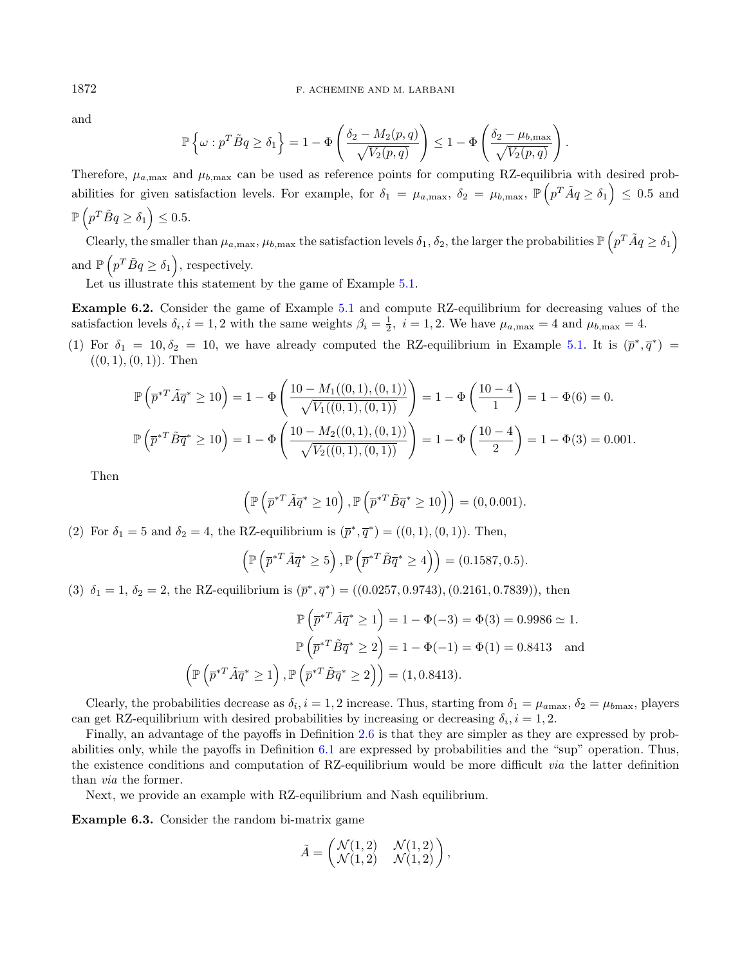and

$$
\mathbb{P}\left\{\omega : p^T \tilde{B}q \ge \delta_1\right\} = 1 - \Phi\left(\frac{\delta_2 - M_2(p,q)}{\sqrt{V_2(p,q)}}\right) \le 1 - \Phi\left(\frac{\delta_2 - \mu_{b,\max}}{\sqrt{V_2(p,q)}}\right).
$$

Therefore,  $\mu_{a,\text{max}}$  and  $\mu_{b,\text{max}}$  can be used as reference points for computing RZ-equilibria with desired probabilities for given satisfaction levels. For example, for  $\delta_1 = \mu_{a,\text{max}}$ ,  $\delta_2 = \mu_{b,\text{max}}$ ,  $\mathbb{P}\left(p^T \tilde{A} q \ge \delta_1\right) \le 0.5$  and  $\mathbb{P}\left(p^T \tilde{B} q \geq \delta_1\right) \leq 0.5.$ 

Clearly, the smaller than  $\mu_{a,\max}, \mu_{b,\max}$  the satisfaction levels  $\delta_1, \delta_2$ , the larger the probabilities  $\mathbb{P}\left(p^T \tilde{A} q \geq \delta_1\right)$ and  $\mathbb{P}\left(p^T \tilde{B} q \geq \delta_1\right)$ , respectively.

Let us illustrate this statement by the game of Example [5.1.](#page-11-1)

Example 6.2. Consider the game of Example [5.1](#page-11-1) and compute RZ-equilibrium for decreasing values of the satisfaction levels  $\delta_i$ ,  $i = 1, 2$  with the same weights  $\beta_i = \frac{1}{2}$ ,  $i = 1, 2$ . We have  $\mu_{a, \text{max}} = 4$  and  $\mu_{b, \text{max}} = 4$ .

(1) For  $\delta_1 = 10, \delta_2 = 10$ , we have already computed the RZ-equilibrium in Example [5.1.](#page-11-1) It is  $(\bar{p}^*, \bar{q}^*)$  $((0, 1), (0, 1))$ . Then

$$
\mathbb{P}\left(\overline{p}^{*T}\tilde{A}\overline{q}^* \ge 10\right) = 1 - \Phi\left(\frac{10 - M_1((0,1),(0,1))}{\sqrt{V_1((0,1),(0,1))}}\right) = 1 - \Phi\left(\frac{10 - 4}{1}\right) = 1 - \Phi(6) = 0.
$$

$$
\mathbb{P}\left(\overline{p}^{*T}\tilde{B}\overline{q}^* \ge 10\right) = 1 - \Phi\left(\frac{10 - M_2((0,1),(0,1))}{\sqrt{V_2((0,1),(0,1))}}\right) = 1 - \Phi\left(\frac{10 - 4}{2}\right) = 1 - \Phi(3) = 0.001.
$$

Then

$$
\left(\mathbb{P}\left(\overline{p}^{*T}\tilde{A}\overline{q}^*\geq 10\right),\mathbb{P}\left(\overline{p}^{*T}\tilde{B}\overline{q}^*\geq 10\right)\right)=(0,0.001).
$$

(2) For  $\delta_1 = 5$  and  $\delta_2 = 4$ , the RZ-equilibrium is  $(\bar{p}^*, \bar{q}^*) = ((0, 1), (0, 1))$ . Then,

$$
\left(\mathbb{P}\left(\overline{p}^{*T}\tilde{A}\overline{q}^*\geq 5\right),\mathbb{P}\left(\overline{p}^{*T}\tilde{B}\overline{q}^*\geq 4\right)\right) = (0.1587,0.5).
$$

(3)  $\delta_1 = 1, \delta_2 = 2$ , the RZ-equilibrium is  $(\bar{p}^*, \bar{q}^*) = ((0.0257, 0.9743), (0.2161, 0.7839))$ , then

$$
\mathbb{P}\left(\overline{p}^{*T}\tilde{A}\overline{q}^* \ge 1\right) = 1 - \Phi(-3) = \Phi(3) = 0.9986 \simeq 1.
$$

$$
\mathbb{P}\left(\overline{p}^{*T}\tilde{B}\overline{q}^* \ge 2\right) = 1 - \Phi(-1) = \Phi(1) = 0.8413 \text{ and}
$$

$$
\left(\mathbb{P}\left(\overline{p}^{*T}\tilde{A}\overline{q}^* \ge 1\right), \mathbb{P}\left(\overline{p}^{*T}\tilde{B}\overline{q}^* \ge 2\right)\right) = (1, 0.8413).
$$

Clearly, the probabilities decrease as  $\delta_i$ ,  $i = 1, 2$  increase. Thus, starting from  $\delta_1 = \mu_{a max}$ ,  $\delta_2 = \mu_{b max}$ , players can get RZ-equilibrium with desired probabilities by increasing or decreasing  $\delta_i$ ,  $i = 1, 2$ .

Finally, an advantage of the payoffs in Definition [2.6](#page-4-0) is that they are simpler as they are expressed by probabilities only, while the payoffs in Definition [6.1](#page-13-3) are expressed by probabilities and the "sup" operation. Thus, the existence conditions and computation of RZ-equilibrium would be more difficult via the latter definition than via the former.

Next, we provide an example with RZ-equilibrium and Nash equilibrium.

Example 6.3. Consider the random bi-matrix game

$$
\tilde{A} = \begin{pmatrix} \mathcal{N}(1,2) & \mathcal{N}(1,2) \\ \mathcal{N}(1,2) & \mathcal{N}(1,2) \end{pmatrix},
$$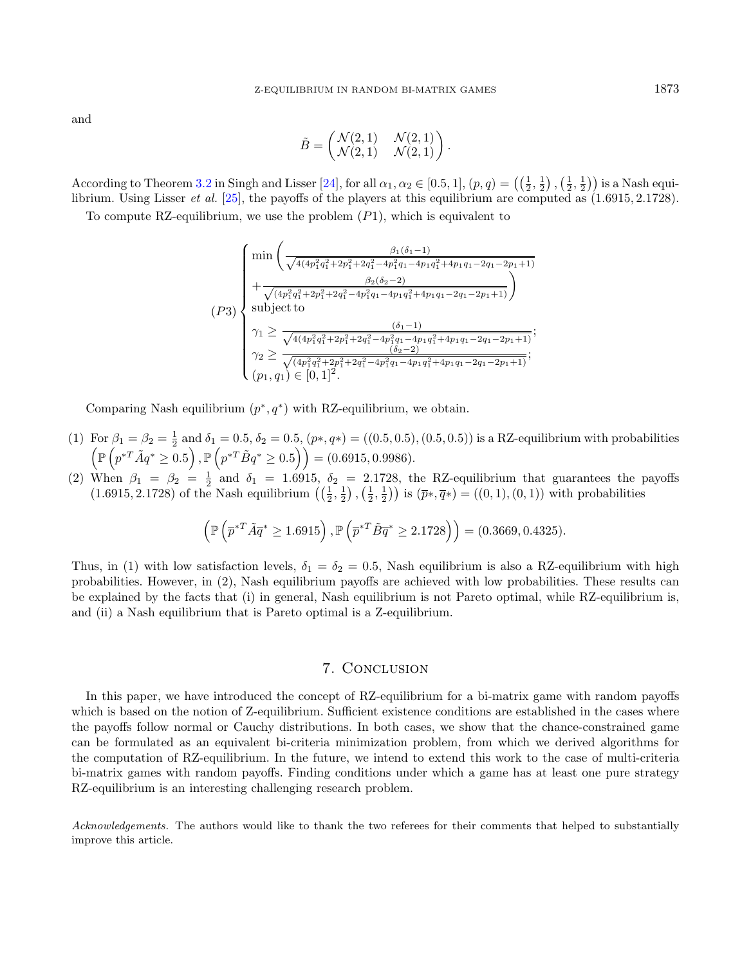and

$$
\tilde{B} = \begin{pmatrix} \mathcal{N}(2,1) & \mathcal{N}(2,1) \\ \mathcal{N}(2,1) & \mathcal{N}(2,1) \end{pmatrix}.
$$

According to Theorem [3.2](#page-6-0) in Singh and Lisser [\[24\]](#page-17-25), for all  $\alpha_1, \alpha_2 \in [0.5, 1]$ ,  $(p, q) = \left(\left(\frac{1}{2}, \frac{1}{2}\right), \left(\frac{1}{2}, \frac{1}{2}\right)\right)$  is a Nash equilibrium. Using Lisser et al. [\[25\]](#page-17-24), the payoffs of the players at this equilibrium are computed as (1.6915, 2.1728).

To compute RZ-equilibrium, we use the problem  $(P1)$ , which is equivalent to

$$
(P3)\n\begin{cases}\n\min\left(\frac{\beta_1(\delta_1-1)}{\sqrt{4(4p_1^2q_1^2+2p_1^2+2q_1^2-4p_1^2q_1-4p_1q_1^2+4p_1q_1-2q_1-2p_1+1)}}\right. \\
\left.+\frac{\beta_2(\delta_2-2)}{\sqrt{(4p_1^2q_1^2+2p_1^2+2q_1^2-4p_1^2q_1-4p_1q_1^2+4p_1q_1-2q_1-2p_1+1)}}\right)\n\text{subject to} \\
\gamma_1 \geq \frac{(\delta_1-1)}{\sqrt{4(4p_1^2q_1^2+2p_1^2+2q_1^2-4p_1^2q_1-4p_1q_1^2+4p_1q_1-2q_1-2p_1+1)}};\n\gamma_2 \geq \frac{(\delta_2-2)}{\sqrt{(4p_1^2q_1^2+2p_1^2+2p_1^2-4p_1^2q_1-4p_1q_1^2+4p_1q_1-2q_1-2p_1+1)}};\n\ (p_1, q_1) \in [0, 1]^2.\n\end{cases}
$$

Comparing Nash equilibrium  $(p^*, q^*)$  with RZ-equilibrium, we obtain.

- (1) For  $\beta_1 = \beta_2 = \frac{1}{2}$  and  $\delta_1 = 0.5$ ,  $\delta_2 = 0.5$ ,  $(p*, q*) = ((0.5, 0.5), (0.5, 0.5))$  is a RZ-equilibrium with probabilities  $\left(\mathbb{P}\left(p^{*T}\tilde{A}q^*\geq0.5\right),\mathbb{P}\left(p^{*T}\tilde{B}q^*\geq0.5\right)\right) = (0.6915,0.9986).$
- (2) When  $\beta_1 = \beta_2 = \frac{1}{2}$  and  $\delta_1 = 1.6915$ ,  $\delta_2 = 2.1728$ , the RZ-equilibrium that guarantees the payoffs  $(1.6915, 2.1728)$  of the Nash equilibrium  $(\frac{1}{2}, \frac{1}{2}), (\frac{1}{2}, \frac{1}{2})$  is  $(\bar{p}*, \bar{q}*) = ((0, 1), (0, 1))$  with probabilities

$$
\left(\mathbb{P}\left(\overline{p}^{*T}\tilde{A}\overline{q}^*\geq 1.6915\right), \mathbb{P}\left(\overline{p}^{*T}\tilde{B}\overline{q}^*\geq 2.1728\right)\right) = (0.3669, 0.4325).
$$

Thus, in (1) with low satisfaction levels,  $\delta_1 = \delta_2 = 0.5$ , Nash equilibrium is also a RZ-equilibrium with high probabilities. However, in (2), Nash equilibrium payoffs are achieved with low probabilities. These results can be explained by the facts that (i) in general, Nash equilibrium is not Pareto optimal, while RZ-equilibrium is, and (ii) a Nash equilibrium that is Pareto optimal is a Z-equilibrium.

# 7. Conclusion

<span id="page-16-0"></span>In this paper, we have introduced the concept of RZ-equilibrium for a bi-matrix game with random payoffs which is based on the notion of Z-equilibrium. Sufficient existence conditions are established in the cases where the payoffs follow normal or Cauchy distributions. In both cases, we show that the chance-constrained game can be formulated as an equivalent bi-criteria minimization problem, from which we derived algorithms for the computation of RZ-equilibrium. In the future, we intend to extend this work to the case of multi-criteria bi-matrix games with random payoffs. Finding conditions under which a game has at least one pure strategy RZ-equilibrium is an interesting challenging research problem.

Acknowledgements. The authors would like to thank the two referees for their comments that helped to substantially improve this article.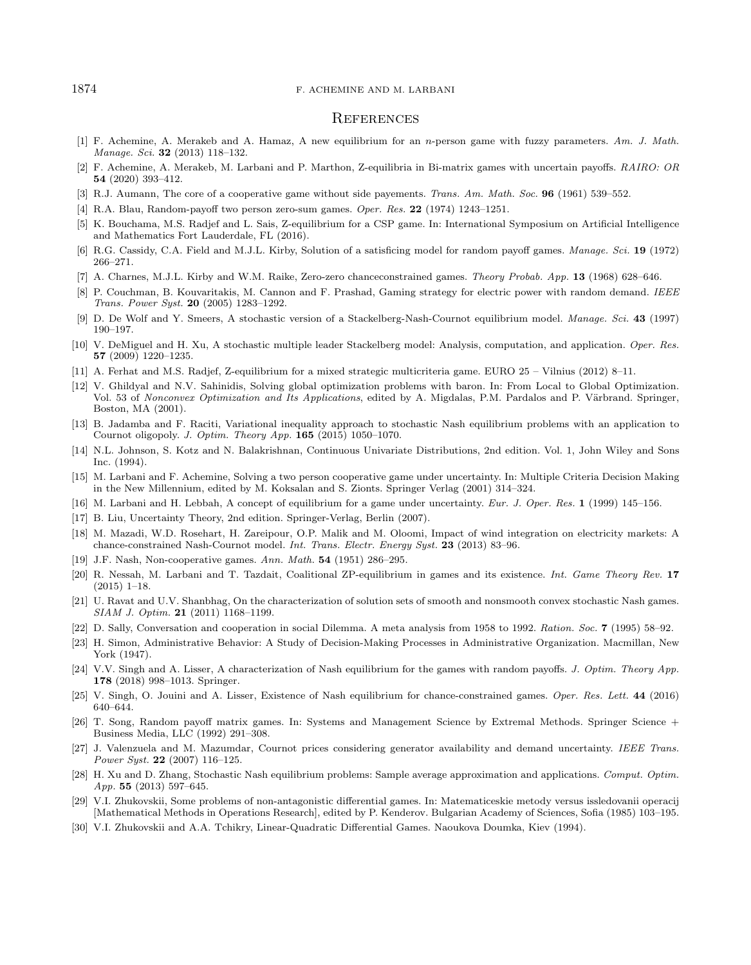#### **REFERENCES**

- <span id="page-17-13"></span>[1] F. Achemine, A. Merakeb and A. Hamaz, A new equilibrium for an n-person game with fuzzy parameters. Am. J. Math. Manage. Sci. **32** (2013) 118-132.
- <span id="page-17-16"></span>[2] F. Achemine, A. Merakeb, M. Larbani and P. Marthon, Z-equilibria in Bi-matrix games with uncertain payoffs. RAIRO: OR 54 (2020) 393–412.
- <span id="page-17-4"></span>[3] R.J. Aumann, The core of a cooperative game without side payements. Trans. Am. Math. Soc. 96 (1961) 539–552.
- <span id="page-17-29"></span>[4] R.A. Blau, Random-payoff two person zero-sum games. Oper. Res. 22 (1974) 1243–1251.
- [5] K. Bouchama, M.S. Radjef and L. Sais, Z-equilibrium for a CSP game. In: International Symposium on Artificial Intelligence and Mathematics Fort Lauderdale, FL (2016).
- <span id="page-17-17"></span>[6] R.G. Cassidy, C.A. Field and M.J.L. Kirby, Solution of a satisficing model for random payoff games. Manage. Sci. 19 (1972) 266–271.
- <span id="page-17-28"></span>[7] A. Charnes, M.J.L. Kirby and W.M. Raike, Zero-zero chanceconstrained games. Theory Probab. App. 13 (1968) 628–646.
- <span id="page-17-7"></span>[8] P. Couchman, B. Kouvaritakis, M. Cannon and F. Prashad, Gaming strategy for electric power with random demand. IEEE Trans. Power Syst. 20 (2005) 1283–1292.
- <span id="page-17-6"></span>[9] D. De Wolf and Y. Smeers, A stochastic version of a Stackelberg-Nash-Cournot equilibrium model. Manage. Sci. 43 (1997) 190–197.
- <span id="page-17-14"></span><span id="page-17-11"></span>[10] V. DeMiguel and H. Xu, A stochastic multiple leader Stackelberg model: Analysis, computation, and application. Oper. Res. 57 (2009) 1220–1235.
- [11] A. Ferhat and M.S. Radjef, Z-equilibrium for a mixed strategic multicriteria game. EURO 25 Vilnius (2012) 8–11.
- <span id="page-17-9"></span><span id="page-17-0"></span>[12] V. Ghildyal and N.V. Sahinidis, Solving global optimization problems with baron. In: From Local to Global Optimization. Vol. 53 of Nonconvex Optimization and Its Applications, edited by A. Migdalas, P.M. Pardalos and P. Värbrand. Springer, Boston, MA (2001).
- <span id="page-17-18"></span>[13] B. Jadamba and F. Raciti, Variational inequality approach to stochastic Nash equilibrium problems with an application to Cournot oligopoly. J. Optim. Theory App. 165 (2015) 1050–1070.
- <span id="page-17-27"></span><span id="page-17-26"></span>[14] N.L. Johnson, S. Kotz and N. Balakrishnan, Continuous Univariate Distributions, 2nd edition. Vol. 1, John Wiley and Sons Inc. (1994).
- <span id="page-17-25"></span>[15] M. Larbani and F. Achemine, Solving a two person cooperative game under uncertainty. In: Multiple Criteria Decision Making in the New Millennium, edited by M. Koksalan and S. Zionts. Springer Verlag (2001) 314–324.
- [16] M. Larbani and H. Lebbah, A concept of equilibrium for a game under uncertainty. Eur. J. Oper. Res. 1 (1999) 145–156.
- <span id="page-17-24"></span>[17] B. Liu, Uncertainty Theory, 2nd edition. Springer-Verlag, Berlin (2007).
- <span id="page-17-23"></span>[18] M. Mazadi, W.D. Rosehart, H. Zareipour, O.P. Malik and M. Oloomi, Impact of wind integration on electricity markets: A chance-constrained Nash-Cournot model. Int. Trans. Electr. Energy Syst. 23 (2013) 83–96.
- <span id="page-17-15"></span>[19] J.F. Nash, Non-cooperative games. Ann. Math. 54 (1951) 286–295.
- [20] R. Nessah, M. Larbani and T. Tazdait, Coalitional ZP-equilibrium in games and its existence. Int. Game Theory Rev. 17 (2015) 1–18.
- <span id="page-17-19"></span>[21] U. Ravat and U.V. Shanbhag, On the characterization of solution sets of smooth and nonsmooth convex stochastic Nash games. SIAM J. Optim. 21 (2011) 1168–1199.
- <span id="page-17-1"></span>[22] D. Sally, Conversation and cooperation in social Dilemma. A meta analysis from 1958 to 1992. Ration. Soc. 7 (1995) 58–92.
- <span id="page-17-3"></span>[23] H. Simon, Administrative Behavior: A Study of Decision-Making Processes in Administrative Organization. Macmillan, New York (1947).
- [24] V.V. Singh and A. Lisser, A characterization of Nash equilibrium for the games with random payoffs. J. Optim. Theory App. 178 (2018) 998–1013. Springer.
- [25] V. Singh, O. Jouini and A. Lisser, Existence of Nash equilibrium for chance-constrained games. Oper. Res. Lett. 44 (2016) 640–644.
- [26] T. Song, Random payoff matrix games. In: Systems and Management Science by Extremal Methods. Springer Science + Business Media, LLC (1992) 291–308.
- [27] J. Valenzuela and M. Mazumdar, Cournot prices considering generator availability and demand uncertainty. IEEE Trans. Power Syst. 22 (2007) 116–125.
- [28] H. Xu and D. Zhang, Stochastic Nash equilibrium problems: Sample average approximation and applications. Comput. Optim. App. 55  $(2013)$  597–645.
- [29] V.I. Zhukovskii, Some problems of non-antagonistic differential games. In: Matematiceskie metody versus issledovanii operacij [Mathematical Methods in Operations Research], edited by P. Kenderov. Bulgarian Academy of Sciences, Sofia (1985) 103–195.
- [30] V.I. Zhukovskii and A.A. Tchikry, Linear-Quadratic Differential Games. Naoukova Doumka, Kiev (1994).

<span id="page-17-22"></span><span id="page-17-21"></span><span id="page-17-20"></span><span id="page-17-12"></span><span id="page-17-10"></span><span id="page-17-8"></span><span id="page-17-5"></span><span id="page-17-2"></span>